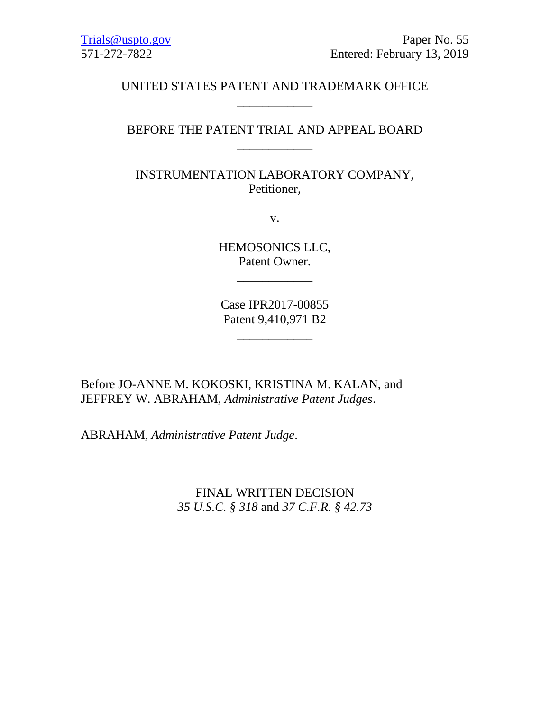# UNITED STATES PATENT AND TRADEMARK OFFICE \_\_\_\_\_\_\_\_\_\_\_\_

# BEFORE THE PATENT TRIAL AND APPEAL BOARD \_\_\_\_\_\_\_\_\_\_\_\_

INSTRUMENTATION LABORATORY COMPANY, Petitioner,

v.

HEMOSONICS LLC, Patent Owner.

\_\_\_\_\_\_\_\_\_\_\_\_

Case IPR2017-00855 Patent 9,410,971 B2

\_\_\_\_\_\_\_\_\_\_\_\_

Before JO-ANNE M. KOKOSKI, KRISTINA M. KALAN, and JEFFREY W. ABRAHAM, *Administrative Patent Judges*.

ABRAHAM, *Administrative Patent Judge*.

FINAL WRITTEN DECISION *35 U.S.C. § 318* and *37 C.F.R. § 42.73*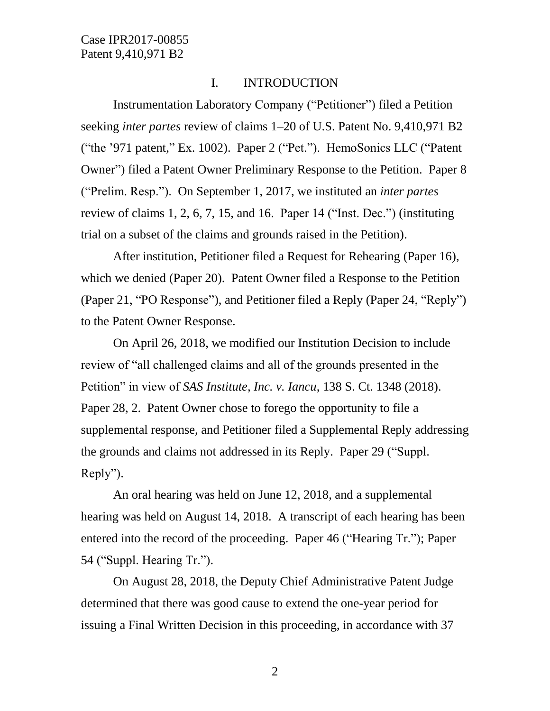### I. INTRODUCTION

Instrumentation Laboratory Company ("Petitioner") filed a Petition seeking *inter partes* review of claims 1–20 of U.S. Patent No. 9,410,971 B2 ("the '971 patent," Ex. 1002). Paper 2 ("Pet."). HemoSonics LLC ("Patent Owner") filed a Patent Owner Preliminary Response to the Petition. Paper 8 ("Prelim. Resp."). On September 1, 2017, we instituted an *inter partes* review of claims 1, 2, 6, 7, 15, and 16. Paper 14 ("Inst. Dec.") (instituting trial on a subset of the claims and grounds raised in the Petition).

After institution, Petitioner filed a Request for Rehearing (Paper 16), which we denied (Paper 20). Patent Owner filed a Response to the Petition (Paper 21, "PO Response"), and Petitioner filed a Reply (Paper 24, "Reply") to the Patent Owner Response.

On April 26, 2018, we modified our Institution Decision to include review of "all challenged claims and all of the grounds presented in the Petition" in view of *SAS Institute, Inc. v. Iancu*, 138 S. Ct. 1348 (2018). Paper 28, 2. Patent Owner chose to forego the opportunity to file a supplemental response, and Petitioner filed a Supplemental Reply addressing the grounds and claims not addressed in its Reply. Paper 29 ("Suppl. Reply").

An oral hearing was held on June 12, 2018, and a supplemental hearing was held on August 14, 2018. A transcript of each hearing has been entered into the record of the proceeding. Paper 46 ("Hearing Tr."); Paper 54 ("Suppl. Hearing Tr.").

On August 28, 2018, the Deputy Chief Administrative Patent Judge determined that there was good cause to extend the one-year period for issuing a Final Written Decision in this proceeding, in accordance with 37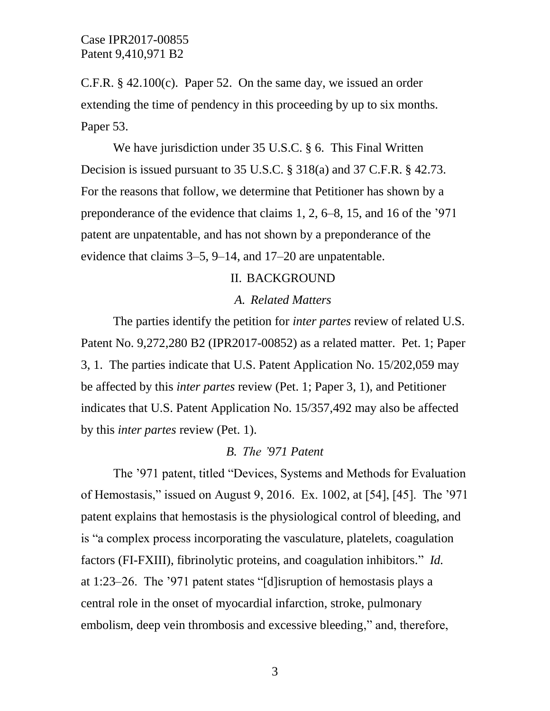C.F.R. § 42.100(c). Paper 52. On the same day, we issued an order extending the time of pendency in this proceeding by up to six months. Paper 53.

We have jurisdiction under 35 U.S.C. § 6. This Final Written Decision is issued pursuant to 35 U.S.C. § 318(a) and 37 C.F.R. § 42.73. For the reasons that follow, we determine that Petitioner has shown by a preponderance of the evidence that claims 1, 2, 6–8, 15, and 16 of the '971 patent are unpatentable, and has not shown by a preponderance of the evidence that claims 3–5, 9–14, and 17–20 are unpatentable.

### II. BACKGROUND

#### *A. Related Matters*

The parties identify the petition for *inter partes* review of related U.S. Patent No. 9,272,280 B2 (IPR2017-00852) as a related matter. Pet. 1; Paper 3, 1. The parties indicate that U.S. Patent Application No. 15/202,059 may be affected by this *inter partes* review (Pet. 1; Paper 3, 1), and Petitioner indicates that U.S. Patent Application No. 15/357,492 may also be affected by this *inter partes* review (Pet. 1).

### *B. The '971 Patent*

The '971 patent, titled "Devices, Systems and Methods for Evaluation of Hemostasis," issued on August 9, 2016. Ex. 1002, at [54], [45]. The '971 patent explains that hemostasis is the physiological control of bleeding, and is "a complex process incorporating the vasculature, platelets, coagulation factors (FI-FXIII), fibrinolytic proteins, and coagulation inhibitors." *Id.* at 1:23–26. The '971 patent states "[d]isruption of hemostasis plays a central role in the onset of myocardial infarction, stroke, pulmonary embolism, deep vein thrombosis and excessive bleeding," and, therefore,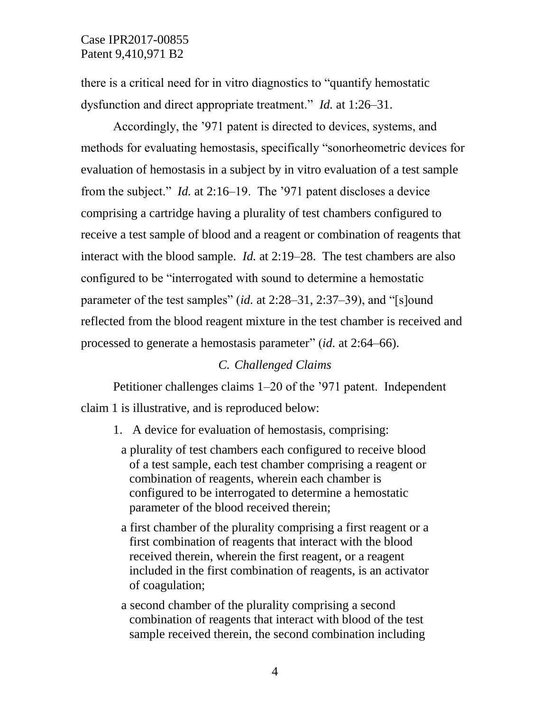there is a critical need for in vitro diagnostics to "quantify hemostatic dysfunction and direct appropriate treatment." *Id.* at 1:26–31.

Accordingly, the '971 patent is directed to devices, systems, and methods for evaluating hemostasis, specifically "sonorheometric devices for evaluation of hemostasis in a subject by in vitro evaluation of a test sample from the subject." *Id.* at 2:16–19. The '971 patent discloses a device comprising a cartridge having a plurality of test chambers configured to receive a test sample of blood and a reagent or combination of reagents that interact with the blood sample. *Id.* at 2:19–28. The test chambers are also configured to be "interrogated with sound to determine a hemostatic parameter of the test samples" (*id.* at 2:28–31, 2:37–39), and "[s]ound reflected from the blood reagent mixture in the test chamber is received and processed to generate a hemostasis parameter" (*id.* at 2:64–66).

# *C. Challenged Claims*

Petitioner challenges claims 1–20 of the '971 patent. Independent claim 1 is illustrative, and is reproduced below:

- 1. A device for evaluation of hemostasis, comprising:
	- a plurality of test chambers each configured to receive blood of a test sample, each test chamber comprising a reagent or combination of reagents, wherein each chamber is configured to be interrogated to determine a hemostatic parameter of the blood received therein;
	- a first chamber of the plurality comprising a first reagent or a first combination of reagents that interact with the blood received therein, wherein the first reagent, or a reagent included in the first combination of reagents, is an activator of coagulation;
	- a second chamber of the plurality comprising a second combination of reagents that interact with blood of the test sample received therein, the second combination including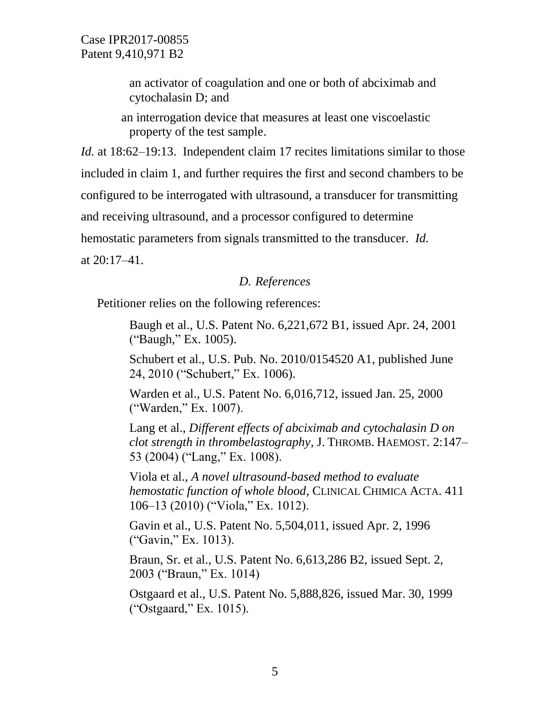an activator of coagulation and one or both of abciximab and cytochalasin D; and

an interrogation device that measures at least one viscoelastic property of the test sample.

*Id.* at 18:62–19:13. Independent claim 17 recites limitations similar to those included in claim 1, and further requires the first and second chambers to be configured to be interrogated with ultrasound, a transducer for transmitting and receiving ultrasound, and a processor configured to determine hemostatic parameters from signals transmitted to the transducer. *Id.* at 20:17–41.

# *D. References*

Petitioner relies on the following references:

Baugh et al., U.S. Patent No. 6,221,672 B1, issued Apr. 24, 2001 ("Baugh," Ex. 1005).

Schubert et al., U.S. Pub. No. 2010/0154520 A1, published June 24, 2010 ("Schubert," Ex. 1006).

Warden et al., U.S. Patent No. 6,016,712, issued Jan. 25, 2000 ("Warden," Ex. 1007).

Lang et al., *Different effects of abciximab and cytochalasin D on clot strength in thrombelastography*, J. THROMB. HAEMOST. 2:147– 53 (2004) ("Lang," Ex. 1008).

Viola et al., *A novel ultrasound-based method to evaluate hemostatic function of whole blood*, CLINICAL CHIMICA ACTA. 411 106–13 (2010) ("Viola," Ex. 1012).

Gavin et al., U.S. Patent No. 5,504,011, issued Apr. 2, 1996 ("Gavin," Ex. 1013).

Braun, Sr. et al., U.S. Patent No. 6,613,286 B2, issued Sept. 2, 2003 ("Braun," Ex. 1014)

Ostgaard et al., U.S. Patent No. 5,888,826, issued Mar. 30, 1999 ("Ostgaard," Ex. 1015).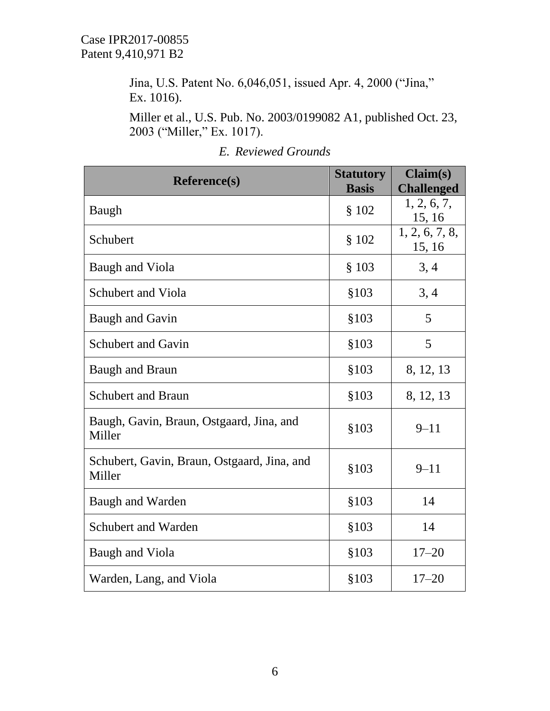Jina, U.S. Patent No. 6,046,051, issued Apr. 4, 2000 ("Jina," Ex. 1016).

Miller et al., U.S. Pub. No. 2003/0199082 A1, published Oct. 23, 2003 ("Miller," Ex. 1017).

| <b>Reference(s)</b>                                   | <b>Statutory</b><br><b>Basis</b> | Claim(s)<br><b>Challenged</b> |
|-------------------------------------------------------|----------------------------------|-------------------------------|
| Baugh                                                 | \$102                            | 1, 2, 6, 7,<br>15, 16         |
| Schubert                                              | \$102                            | 1, 2, 6, 7, 8,<br>15, 16      |
| Baugh and Viola                                       | \$103                            | 3, 4                          |
| <b>Schubert and Viola</b>                             | \$103                            | 3, 4                          |
| <b>Baugh and Gavin</b>                                | \$103                            | 5                             |
| <b>Schubert and Gavin</b>                             | \$103                            | 5                             |
| <b>Baugh and Braun</b>                                | \$103                            | 8, 12, 13                     |
| <b>Schubert and Braun</b>                             | \$103                            | 8, 12, 13                     |
| Baugh, Gavin, Braun, Ostgaard, Jina, and<br>Miller    | \$103                            | $9 - 11$                      |
| Schubert, Gavin, Braun, Ostgaard, Jina, and<br>Miller | \$103                            | $9 - 11$                      |
| <b>Baugh and Warden</b>                               | \$103                            | 14                            |
| <b>Schubert and Warden</b>                            | \$103                            | 14                            |
| Baugh and Viola                                       | \$103                            | $17 - 20$                     |
| Warden, Lang, and Viola                               | \$103                            | $17 - 20$                     |

# *E. Reviewed Grounds*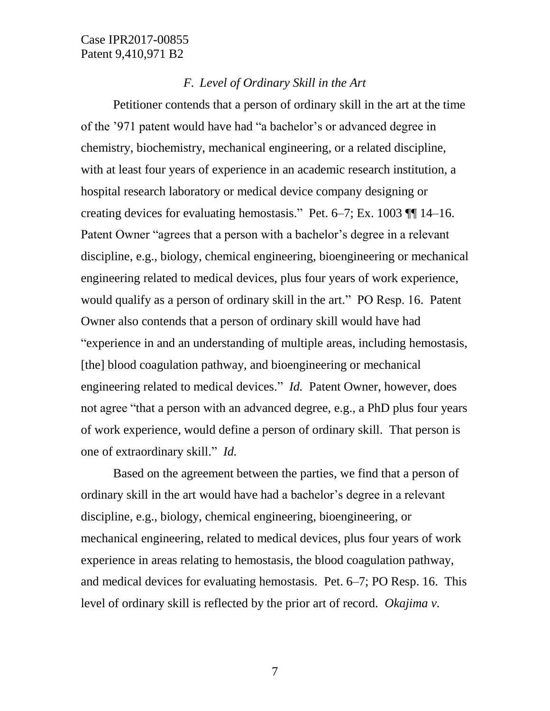# *F. Level of Ordinary Skill in the Art*

Petitioner contends that a person of ordinary skill in the art at the time of the '971 patent would have had "a bachelor's or advanced degree in chemistry, biochemistry, mechanical engineering, or a related discipline, with at least four years of experience in an academic research institution, a hospital research laboratory or medical device company designing or creating devices for evaluating hemostasis." Pet. 6–7; Ex. 1003 ¶¶ 14–16. Patent Owner "agrees that a person with a bachelor's degree in a relevant discipline, e.g., biology, chemical engineering, bioengineering or mechanical engineering related to medical devices, plus four years of work experience, would qualify as a person of ordinary skill in the art." PO Resp. 16. Patent Owner also contends that a person of ordinary skill would have had "experience in and an understanding of multiple areas, including hemostasis, [the] blood coagulation pathway, and bioengineering or mechanical engineering related to medical devices." *Id.* Patent Owner, however, does not agree "that a person with an advanced degree, e.g., a PhD plus four years of work experience, would define a person of ordinary skill. That person is one of extraordinary skill." *Id.*

Based on the agreement between the parties, we find that a person of ordinary skill in the art would have had a bachelor's degree in a relevant discipline, e.g., biology, chemical engineering, bioengineering, or mechanical engineering, related to medical devices, plus four years of work experience in areas relating to hemostasis, the blood coagulation pathway, and medical devices for evaluating hemostasis. Pet. 6–7; PO Resp. 16. This level of ordinary skill is reflected by the prior art of record. *Okajima v.*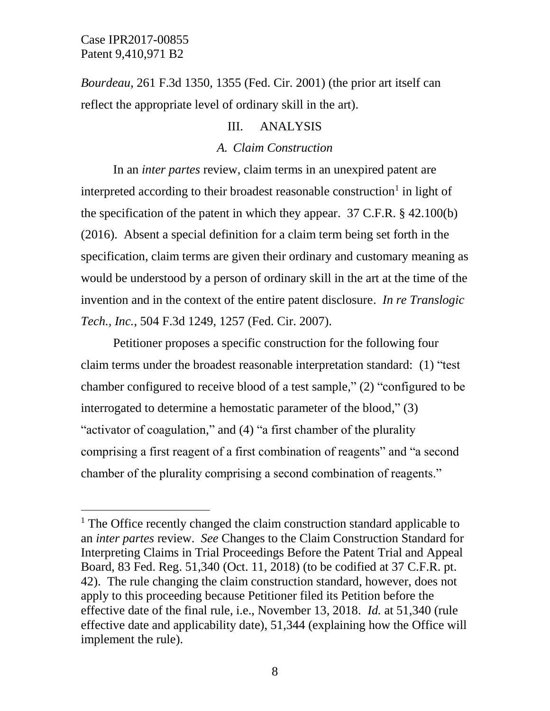$\overline{a}$ 

*Bourdeau*, 261 F.3d 1350, 1355 (Fed. Cir. 2001) (the prior art itself can reflect the appropriate level of ordinary skill in the art).

### III. ANALYSIS

### *A. Claim Construction*

In an *inter partes* review, claim terms in an unexpired patent are interpreted according to their broadest reasonable construction<sup>1</sup> in light of the specification of the patent in which they appear. 37 C.F.R. § 42.100(b) (2016). Absent a special definition for a claim term being set forth in the specification, claim terms are given their ordinary and customary meaning as would be understood by a person of ordinary skill in the art at the time of the invention and in the context of the entire patent disclosure. *In re Translogic Tech., Inc.*, 504 F.3d 1249, 1257 (Fed. Cir. 2007).

Petitioner proposes a specific construction for the following four claim terms under the broadest reasonable interpretation standard: (1) "test chamber configured to receive blood of a test sample," (2) "configured to be interrogated to determine a hemostatic parameter of the blood," (3) "activator of coagulation," and (4) "a first chamber of the plurality comprising a first reagent of a first combination of reagents" and "a second chamber of the plurality comprising a second combination of reagents."

 $<sup>1</sup>$  The Office recently changed the claim construction standard applicable to</sup> an *inter partes* review. *See* Changes to the Claim Construction Standard for Interpreting Claims in Trial Proceedings Before the Patent Trial and Appeal Board, 83 Fed. Reg. 51,340 (Oct. 11, 2018) (to be codified at 37 C.F.R. pt. 42). The rule changing the claim construction standard, however, does not apply to this proceeding because Petitioner filed its Petition before the effective date of the final rule, i.e., November 13, 2018. *Id.* at 51,340 (rule effective date and applicability date), 51,344 (explaining how the Office will implement the rule).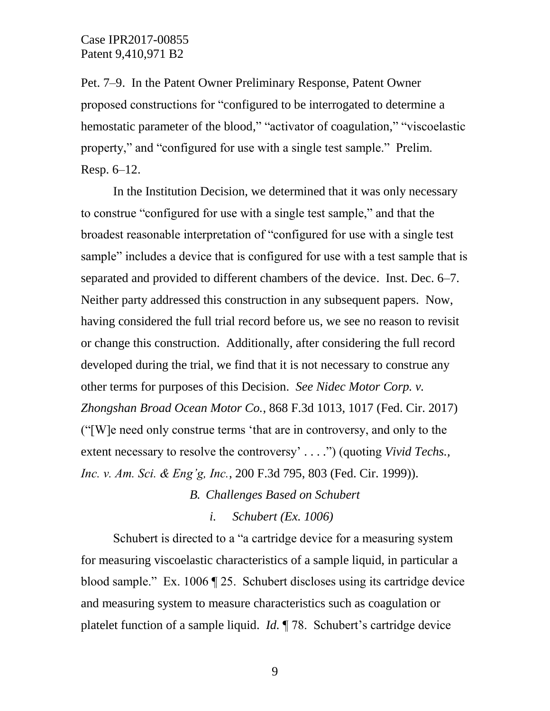Pet. 7–9. In the Patent Owner Preliminary Response, Patent Owner proposed constructions for "configured to be interrogated to determine a hemostatic parameter of the blood," "activator of coagulation," "viscoelastic property," and "configured for use with a single test sample." Prelim. Resp. 6–12.

In the Institution Decision, we determined that it was only necessary to construe "configured for use with a single test sample," and that the broadest reasonable interpretation of "configured for use with a single test sample" includes a device that is configured for use with a test sample that is separated and provided to different chambers of the device. Inst. Dec. 6–7. Neither party addressed this construction in any subsequent papers. Now, having considered the full trial record before us, we see no reason to revisit or change this construction. Additionally, after considering the full record developed during the trial, we find that it is not necessary to construe any other terms for purposes of this Decision. *See Nidec Motor Corp. v. Zhongshan Broad Ocean Motor Co.*, 868 F.3d 1013, 1017 (Fed. Cir. 2017) ("[W]e need only construe terms 'that are in controversy, and only to the extent necessary to resolve the controversy' . . . .") (quoting *Vivid Techs., Inc. v. Am. Sci. & Eng'g, Inc.*, 200 F.3d 795, 803 (Fed. Cir. 1999)).

*B. Challenges Based on Schubert*

*i. Schubert (Ex. 1006)*

Schubert is directed to a "a cartridge device for a measuring system for measuring viscoelastic characteristics of a sample liquid, in particular a blood sample." Ex. 1006 ¶ 25. Schubert discloses using its cartridge device and measuring system to measure characteristics such as coagulation or platelet function of a sample liquid. *Id.* ¶ 78. Schubert's cartridge device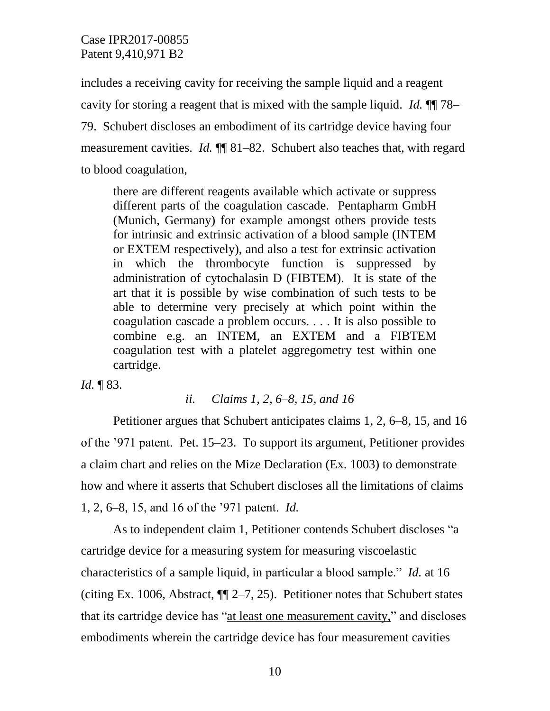includes a receiving cavity for receiving the sample liquid and a reagent cavity for storing a reagent that is mixed with the sample liquid. *Id.* ¶¶ 78– 79. Schubert discloses an embodiment of its cartridge device having four measurement cavities. *Id.* ¶¶ 81–82. Schubert also teaches that, with regard to blood coagulation,

there are different reagents available which activate or suppress different parts of the coagulation cascade. Pentapharm GmbH (Munich, Germany) for example amongst others provide tests for intrinsic and extrinsic activation of a blood sample (INTEM or EXTEM respectively), and also a test for extrinsic activation in which the thrombocyte function is suppressed by administration of cytochalasin D (FIBTEM). It is state of the art that it is possible by wise combination of such tests to be able to determine very precisely at which point within the coagulation cascade a problem occurs. . . . It is also possible to combine e.g. an INTEM, an EXTEM and a FIBTEM coagulation test with a platelet aggregometry test within one cartridge.

*Id.* ¶ 83.

### *ii. Claims 1, 2, 6–8, 15, and 16*

Petitioner argues that Schubert anticipates claims 1, 2, 6–8, 15, and 16 of the '971 patent. Pet. 15–23. To support its argument, Petitioner provides a claim chart and relies on the Mize Declaration (Ex. 1003) to demonstrate how and where it asserts that Schubert discloses all the limitations of claims 1, 2, 6–8, 15, and 16 of the '971 patent. *Id.*

As to independent claim 1, Petitioner contends Schubert discloses "a cartridge device for a measuring system for measuring viscoelastic characteristics of a sample liquid, in particular a blood sample." *Id.* at 16 (citing Ex. 1006, Abstract, ¶¶ 2–7, 25). Petitioner notes that Schubert states that its cartridge device has "at least one measurement cavity," and discloses embodiments wherein the cartridge device has four measurement cavities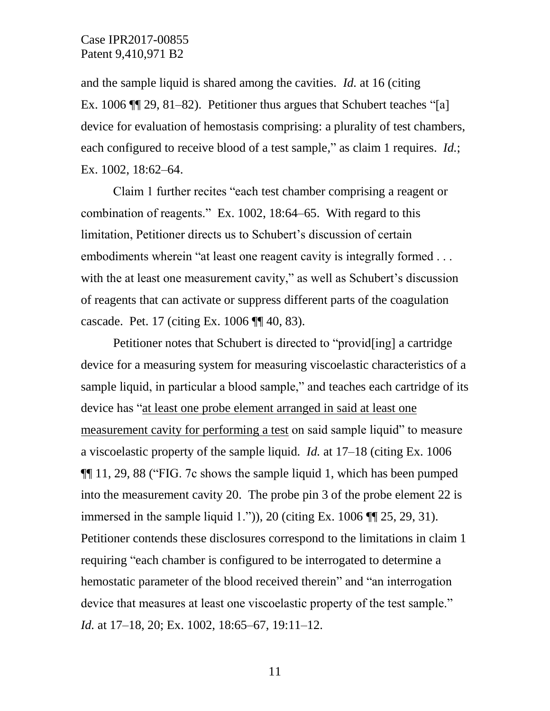and the sample liquid is shared among the cavities. *Id.* at 16 (citing Ex. 1006 ¶¶ 29, 81–82). Petitioner thus argues that Schubert teaches "[a] device for evaluation of hemostasis comprising: a plurality of test chambers, each configured to receive blood of a test sample," as claim 1 requires. *Id.*; Ex. 1002, 18:62–64.

Claim 1 further recites "each test chamber comprising a reagent or combination of reagents." Ex. 1002, 18:64–65. With regard to this limitation, Petitioner directs us to Schubert's discussion of certain embodiments wherein "at least one reagent cavity is integrally formed . . . with the at least one measurement cavity," as well as Schubert's discussion of reagents that can activate or suppress different parts of the coagulation cascade. Pet. 17 (citing Ex. 1006 ¶¶ 40, 83).

Petitioner notes that Schubert is directed to "provid[ing] a cartridge device for a measuring system for measuring viscoelastic characteristics of a sample liquid, in particular a blood sample," and teaches each cartridge of its device has "at least one probe element arranged in said at least one measurement cavity for performing a test on said sample liquid" to measure a viscoelastic property of the sample liquid. *Id.* at 17–18 (citing Ex. 1006 ¶¶ 11, 29, 88 ("FIG. 7c shows the sample liquid 1, which has been pumped into the measurement cavity 20. The probe pin 3 of the probe element 22 is immersed in the sample liquid 1.")), 20 (citing Ex.  $1006$   $\P$  $[25, 29, 31)$ . Petitioner contends these disclosures correspond to the limitations in claim 1 requiring "each chamber is configured to be interrogated to determine a hemostatic parameter of the blood received therein" and "an interrogation device that measures at least one viscoelastic property of the test sample." *Id.* at 17–18, 20; Ex. 1002, 18:65–67, 19:11–12.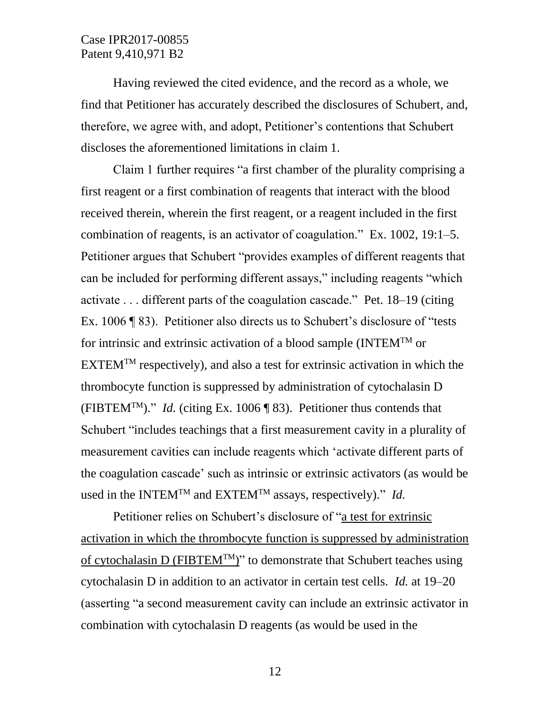Having reviewed the cited evidence, and the record as a whole, we find that Petitioner has accurately described the disclosures of Schubert, and, therefore, we agree with, and adopt, Petitioner's contentions that Schubert discloses the aforementioned limitations in claim 1.

Claim 1 further requires "a first chamber of the plurality comprising a first reagent or a first combination of reagents that interact with the blood received therein, wherein the first reagent, or a reagent included in the first combination of reagents, is an activator of coagulation." Ex. 1002, 19:1–5. Petitioner argues that Schubert "provides examples of different reagents that can be included for performing different assays," including reagents "which activate . . . different parts of the coagulation cascade." Pet. 18–19 (citing Ex. 1006 ¶ 83). Petitioner also directs us to Schubert's disclosure of "tests for intrinsic and extrinsic activation of a blood sample (INTEMTM or  $EXTEM^{TM}$  respectively), and also a test for extrinsic activation in which the thrombocyte function is suppressed by administration of cytochalasin D (FIBTEM<sup>TM</sup>)." *Id.* (citing Ex. 1006 ¶ 83). Petitioner thus contends that Schubert "includes teachings that a first measurement cavity in a plurality of measurement cavities can include reagents which 'activate different parts of the coagulation cascade' such as intrinsic or extrinsic activators (as would be used in the INTEM<sup>TM</sup> and EXTEM<sup>TM</sup> assays, respectively)." *Id.* 

Petitioner relies on Schubert's disclosure of "a test for extrinsic activation in which the thrombocyte function is suppressed by administration of cytochalasin D (FIBTEM<sup>TM</sup>)" to demonstrate that Schubert teaches using cytochalasin D in addition to an activator in certain test cells. *Id.* at 19–20 (asserting "a second measurement cavity can include an extrinsic activator in combination with cytochalasin D reagents (as would be used in the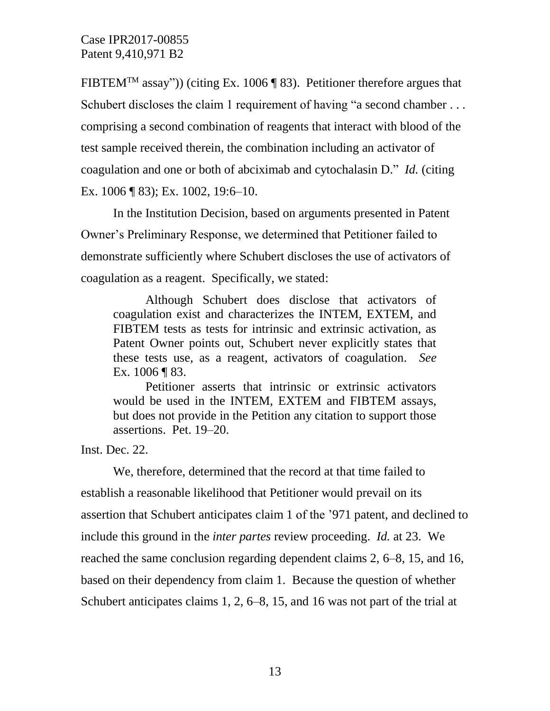FIBTEM<sup>TM</sup> assay")) (citing Ex. 1006 ¶ 83). Petitioner therefore argues that Schubert discloses the claim 1 requirement of having "a second chamber ... comprising a second combination of reagents that interact with blood of the test sample received therein, the combination including an activator of coagulation and one or both of abciximab and cytochalasin D." *Id.* (citing Ex. 1006 ¶ 83); Ex. 1002, 19:6–10.

In the Institution Decision, based on arguments presented in Patent Owner's Preliminary Response, we determined that Petitioner failed to demonstrate sufficiently where Schubert discloses the use of activators of coagulation as a reagent. Specifically, we stated:

Although Schubert does disclose that activators of coagulation exist and characterizes the INTEM, EXTEM, and FIBTEM tests as tests for intrinsic and extrinsic activation, as Patent Owner points out, Schubert never explicitly states that these tests use, as a reagent, activators of coagulation. *See* Ex. 1006 ¶ 83.

Petitioner asserts that intrinsic or extrinsic activators would be used in the INTEM, EXTEM and FIBTEM assays, but does not provide in the Petition any citation to support those assertions. Pet. 19–20.

Inst. Dec. 22.

We, therefore, determined that the record at that time failed to establish a reasonable likelihood that Petitioner would prevail on its assertion that Schubert anticipates claim 1 of the '971 patent, and declined to include this ground in the *inter partes* review proceeding. *Id.* at 23. We reached the same conclusion regarding dependent claims 2, 6–8, 15, and 16, based on their dependency from claim 1. Because the question of whether Schubert anticipates claims 1, 2, 6–8, 15, and 16 was not part of the trial at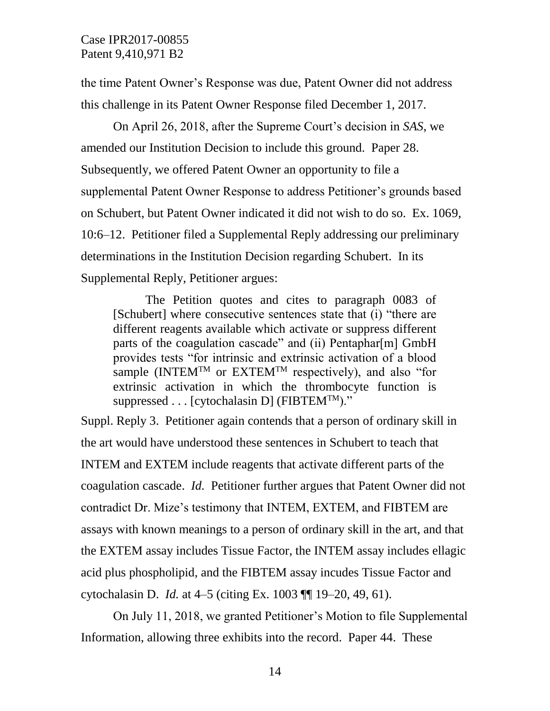the time Patent Owner's Response was due, Patent Owner did not address this challenge in its Patent Owner Response filed December 1, 2017.

On April 26, 2018, after the Supreme Court's decision in *SAS*, we amended our Institution Decision to include this ground. Paper 28. Subsequently, we offered Patent Owner an opportunity to file a supplemental Patent Owner Response to address Petitioner's grounds based on Schubert, but Patent Owner indicated it did not wish to do so. Ex. 1069, 10:6–12. Petitioner filed a Supplemental Reply addressing our preliminary determinations in the Institution Decision regarding Schubert. In its Supplemental Reply, Petitioner argues:

The Petition quotes and cites to paragraph 0083 of [Schubert] where consecutive sentences state that (i) "there are different reagents available which activate or suppress different parts of the coagulation cascade" and (ii) Pentaphar[m] GmbH provides tests "for intrinsic and extrinsic activation of a blood sample (INTEM<sup>TM</sup> or EXTEM<sup>TM</sup> respectively), and also "for extrinsic activation in which the thrombocyte function is suppressed  $\dots$  [cytochalasin D] (FIBTEM<sup>TM</sup>)."

Suppl. Reply 3. Petitioner again contends that a person of ordinary skill in the art would have understood these sentences in Schubert to teach that INTEM and EXTEM include reagents that activate different parts of the coagulation cascade. *Id.* Petitioner further argues that Patent Owner did not contradict Dr. Mize's testimony that INTEM, EXTEM, and FIBTEM are assays with known meanings to a person of ordinary skill in the art, and that the EXTEM assay includes Tissue Factor, the INTEM assay includes ellagic acid plus phospholipid, and the FIBTEM assay incudes Tissue Factor and cytochalasin D. *Id.* at 4–5 (citing Ex. 1003 ¶¶ 19–20, 49, 61).

On July 11, 2018, we granted Petitioner's Motion to file Supplemental Information, allowing three exhibits into the record. Paper 44. These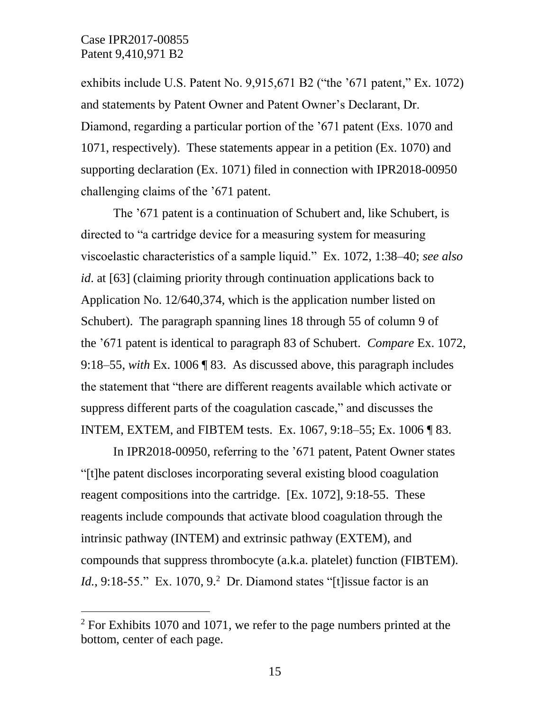$\overline{a}$ 

exhibits include U.S. Patent No. 9,915,671 B2 ("the '671 patent," Ex. 1072) and statements by Patent Owner and Patent Owner's Declarant, Dr. Diamond, regarding a particular portion of the '671 patent (Exs. 1070 and 1071, respectively). These statements appear in a petition (Ex. 1070) and supporting declaration (Ex. 1071) filed in connection with IPR2018-00950 challenging claims of the '671 patent.

The '671 patent is a continuation of Schubert and, like Schubert, is directed to "a cartridge device for a measuring system for measuring viscoelastic characteristics of a sample liquid." Ex. 1072, 1:38–40; *see also id*. at [63] (claiming priority through continuation applications back to Application No. 12/640,374, which is the application number listed on Schubert). The paragraph spanning lines 18 through 55 of column 9 of the '671 patent is identical to paragraph 83 of Schubert. *Compare* Ex. 1072, 9:18–55, *with* Ex. 1006 ¶ 83. As discussed above, this paragraph includes the statement that "there are different reagents available which activate or suppress different parts of the coagulation cascade," and discusses the INTEM, EXTEM, and FIBTEM tests. Ex. 1067, 9:18–55; Ex. 1006 ¶ 83.

In IPR2018-00950, referring to the '671 patent, Patent Owner states "[t]he patent discloses incorporating several existing blood coagulation reagent compositions into the cartridge. [Ex. 1072], 9:18-55. These reagents include compounds that activate blood coagulation through the intrinsic pathway (INTEM) and extrinsic pathway (EXTEM), and compounds that suppress thrombocyte (a.k.a. platelet) function (FIBTEM). *Id.*, 9:18-55." Ex. 1070, 9.<sup>2</sup> Dr. Diamond states "[t] issue factor is an

 $2$  For Exhibits 1070 and 1071, we refer to the page numbers printed at the bottom, center of each page.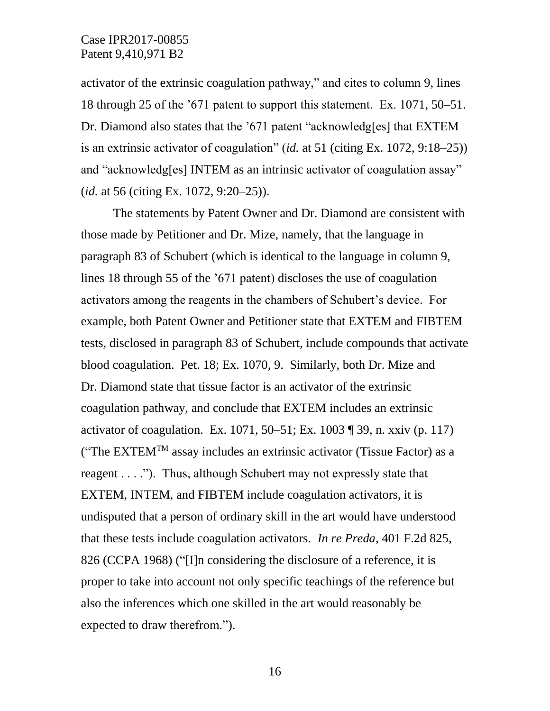activator of the extrinsic coagulation pathway," and cites to column 9, lines 18 through 25 of the '671 patent to support this statement. Ex. 1071, 50–51. Dr. Diamond also states that the '671 patent "acknowledg[es] that EXTEM is an extrinsic activator of coagulation" (*id.* at 51 (citing Ex. 1072, 9:18–25)) and "acknowledg[es] INTEM as an intrinsic activator of coagulation assay" (*id.* at 56 (citing Ex. 1072, 9:20–25)).

The statements by Patent Owner and Dr. Diamond are consistent with those made by Petitioner and Dr. Mize, namely, that the language in paragraph 83 of Schubert (which is identical to the language in column 9, lines 18 through 55 of the '671 patent) discloses the use of coagulation activators among the reagents in the chambers of Schubert's device. For example, both Patent Owner and Petitioner state that EXTEM and FIBTEM tests, disclosed in paragraph 83 of Schubert, include compounds that activate blood coagulation. Pet. 18; Ex. 1070, 9. Similarly, both Dr. Mize and Dr. Diamond state that tissue factor is an activator of the extrinsic coagulation pathway, and conclude that EXTEM includes an extrinsic activator of coagulation. Ex. 1071, 50–51; Ex. 1003 ¶ 39, n. xxiv (p. 117) ("The EXTEM<sup>TM</sup> assay includes an extrinsic activator (Tissue Factor) as a reagent . . . ."). Thus, although Schubert may not expressly state that EXTEM, INTEM, and FIBTEM include coagulation activators, it is undisputed that a person of ordinary skill in the art would have understood that these tests include coagulation activators. *In re Preda*, 401 F.2d 825, 826 (CCPA 1968) ("[I]n considering the disclosure of a reference, it is proper to take into account not only specific teachings of the reference but also the inferences which one skilled in the art would reasonably be expected to draw therefrom.").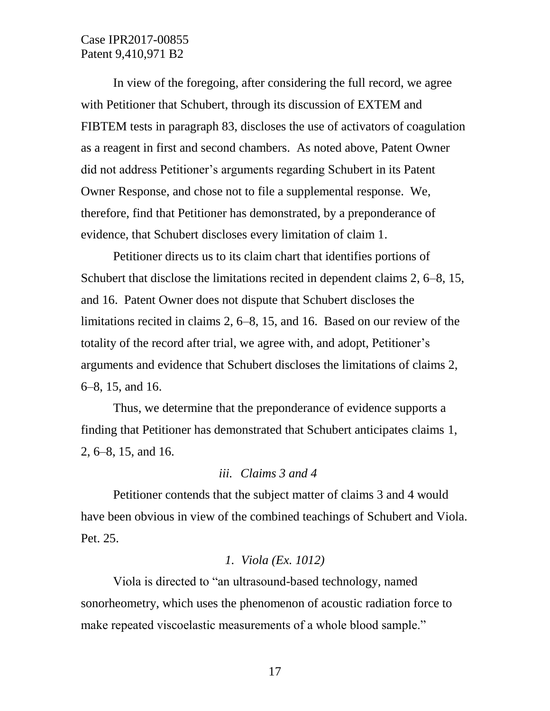In view of the foregoing, after considering the full record, we agree with Petitioner that Schubert, through its discussion of EXTEM and FIBTEM tests in paragraph 83, discloses the use of activators of coagulation as a reagent in first and second chambers. As noted above, Patent Owner did not address Petitioner's arguments regarding Schubert in its Patent Owner Response, and chose not to file a supplemental response. We, therefore, find that Petitioner has demonstrated, by a preponderance of evidence, that Schubert discloses every limitation of claim 1.

Petitioner directs us to its claim chart that identifies portions of Schubert that disclose the limitations recited in dependent claims 2, 6–8, 15, and 16. Patent Owner does not dispute that Schubert discloses the limitations recited in claims 2, 6–8, 15, and 16. Based on our review of the totality of the record after trial, we agree with, and adopt, Petitioner's arguments and evidence that Schubert discloses the limitations of claims 2, 6–8, 15, and 16.

Thus, we determine that the preponderance of evidence supports a finding that Petitioner has demonstrated that Schubert anticipates claims 1, 2, 6–8, 15, and 16.

### *iii. Claims 3 and 4*

Petitioner contends that the subject matter of claims 3 and 4 would have been obvious in view of the combined teachings of Schubert and Viola. Pet. 25.

### *1. Viola (Ex. 1012)*

Viola is directed to "an ultrasound-based technology, named sonorheometry, which uses the phenomenon of acoustic radiation force to make repeated viscoelastic measurements of a whole blood sample."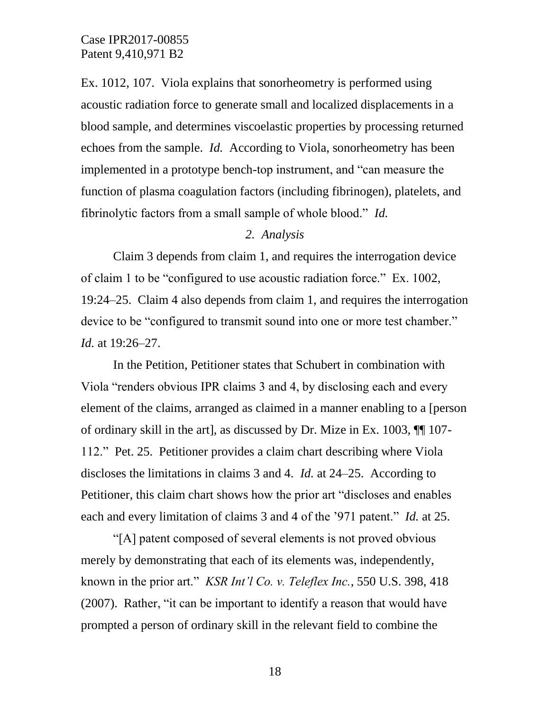Ex. 1012, 107. Viola explains that sonorheometry is performed using acoustic radiation force to generate small and localized displacements in a blood sample, and determines viscoelastic properties by processing returned echoes from the sample. *Id.* According to Viola, sonorheometry has been implemented in a prototype bench-top instrument, and "can measure the function of plasma coagulation factors (including fibrinogen), platelets, and fibrinolytic factors from a small sample of whole blood." *Id.*

# *2. Analysis*

Claim 3 depends from claim 1, and requires the interrogation device of claim 1 to be "configured to use acoustic radiation force." Ex. 1002, 19:24–25. Claim 4 also depends from claim 1, and requires the interrogation device to be "configured to transmit sound into one or more test chamber." *Id.* at 19:26–27.

In the Petition, Petitioner states that Schubert in combination with Viola "renders obvious IPR claims 3 and 4, by disclosing each and every element of the claims, arranged as claimed in a manner enabling to a [person of ordinary skill in the art], as discussed by Dr. Mize in Ex. 1003, ¶¶ 107- 112." Pet. 25. Petitioner provides a claim chart describing where Viola discloses the limitations in claims 3 and 4. *Id.* at 24–25. According to Petitioner, this claim chart shows how the prior art "discloses and enables each and every limitation of claims 3 and 4 of the '971 patent." *Id.* at 25.

"[A] patent composed of several elements is not proved obvious merely by demonstrating that each of its elements was, independently, known in the prior art." *KSR Int'l Co. v. Teleflex Inc.*, 550 U.S. 398, 418 (2007). Rather, "it can be important to identify a reason that would have prompted a person of ordinary skill in the relevant field to combine the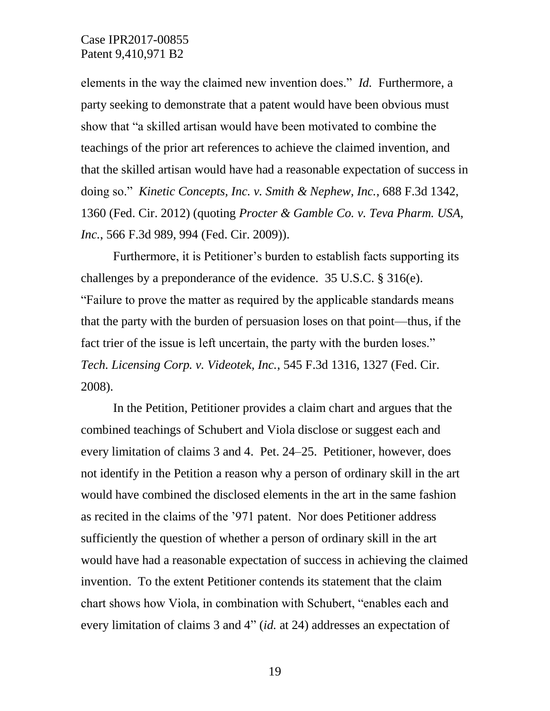elements in the way the claimed new invention does." *Id.* Furthermore, a party seeking to demonstrate that a patent would have been obvious must show that "a skilled artisan would have been motivated to combine the teachings of the prior art references to achieve the claimed invention, and that the skilled artisan would have had a reasonable expectation of success in doing so." *Kinetic Concepts, Inc. v. Smith & Nephew, Inc.*, 688 F.3d 1342, 1360 (Fed. Cir. 2012) (quoting *Procter & Gamble Co. v. Teva Pharm. USA, Inc.*, 566 F.3d 989, 994 (Fed. Cir. 2009)).

Furthermore, it is Petitioner's burden to establish facts supporting its challenges by a preponderance of the evidence. 35 U.S.C. § 316(e). "Failure to prove the matter as required by the applicable standards means that the party with the burden of persuasion loses on that point—thus, if the fact trier of the issue is left uncertain, the party with the burden loses." *Tech. Licensing Corp. v. Videotek, Inc.*, 545 F.3d 1316, 1327 (Fed. Cir. 2008).

In the Petition, Petitioner provides a claim chart and argues that the combined teachings of Schubert and Viola disclose or suggest each and every limitation of claims 3 and 4. Pet. 24–25. Petitioner, however, does not identify in the Petition a reason why a person of ordinary skill in the art would have combined the disclosed elements in the art in the same fashion as recited in the claims of the '971 patent. Nor does Petitioner address sufficiently the question of whether a person of ordinary skill in the art would have had a reasonable expectation of success in achieving the claimed invention. To the extent Petitioner contends its statement that the claim chart shows how Viola, in combination with Schubert, "enables each and every limitation of claims 3 and 4" (*id.* at 24) addresses an expectation of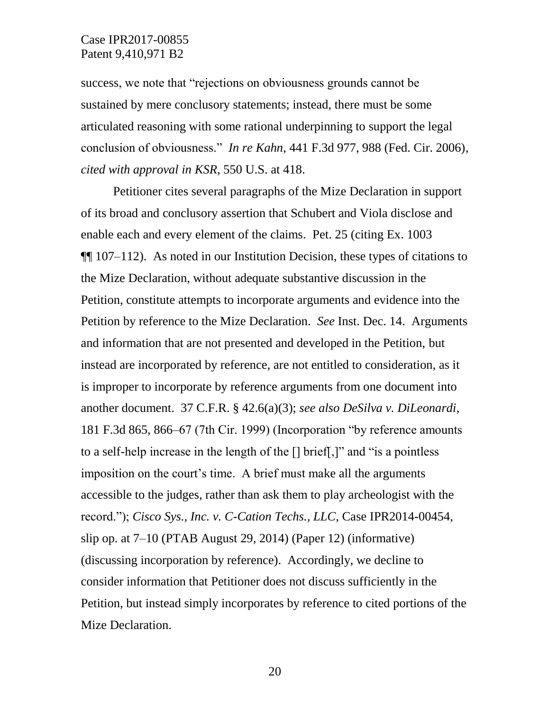success, we note that "rejections on obviousness grounds cannot be sustained by mere conclusory statements; instead, there must be some articulated reasoning with some rational underpinning to support the legal conclusion of obviousness." *In re Kahn*, 441 F.3d 977, 988 (Fed. Cir. 2006), *cited with approval in KSR*, 550 U.S. at 418.

Petitioner cites several paragraphs of the Mize Declaration in support of its broad and conclusory assertion that Schubert and Viola disclose and enable each and every element of the claims. Pet. 25 (citing Ex. 1003 ¶¶ 107–112). As noted in our Institution Decision, these types of citations to the Mize Declaration, without adequate substantive discussion in the Petition, constitute attempts to incorporate arguments and evidence into the Petition by reference to the Mize Declaration. *See* Inst. Dec. 14. Arguments and information that are not presented and developed in the Petition, but instead are incorporated by reference, are not entitled to consideration, as it is improper to incorporate by reference arguments from one document into another document. 37 C.F.R. § 42.6(a)(3); *see also DeSilva v. DiLeonardi*, 181 F.3d 865, 866–67 (7th Cir. 1999) (Incorporation "by reference amounts to a self-help increase in the length of the [] brief[,]" and "is a pointless imposition on the court's time. A brief must make all the arguments accessible to the judges, rather than ask them to play archeologist with the record."); *Cisco Sys., Inc. v. C-Cation Techs., LLC*, Case IPR2014-00454, slip op. at 7–10 (PTAB August 29, 2014) (Paper 12) (informative) (discussing incorporation by reference). Accordingly, we decline to consider information that Petitioner does not discuss sufficiently in the Petition, but instead simply incorporates by reference to cited portions of the Mize Declaration.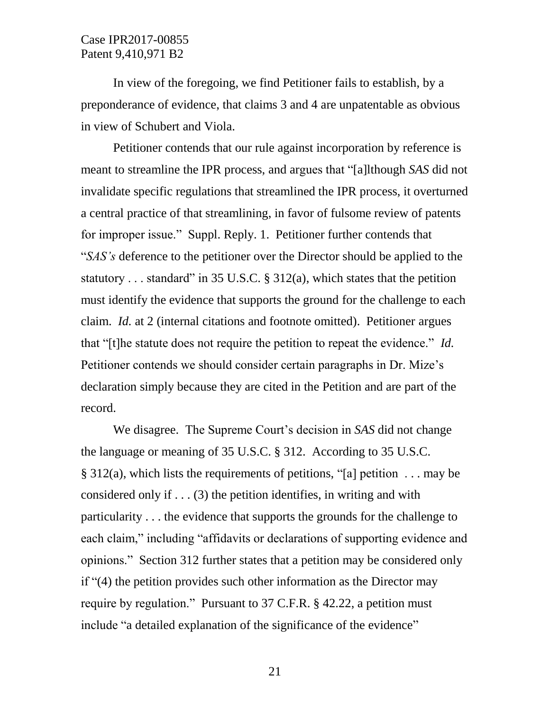In view of the foregoing, we find Petitioner fails to establish, by a preponderance of evidence, that claims 3 and 4 are unpatentable as obvious in view of Schubert and Viola.

Petitioner contends that our rule against incorporation by reference is meant to streamline the IPR process, and argues that "[a]lthough *SAS* did not invalidate specific regulations that streamlined the IPR process, it overturned a central practice of that streamlining, in favor of fulsome review of patents for improper issue." Suppl. Reply. 1. Petitioner further contends that "*SAS's* deference to the petitioner over the Director should be applied to the statutory . . . standard" in 35 U.S.C. § 312(a), which states that the petition must identify the evidence that supports the ground for the challenge to each claim. *Id.* at 2 (internal citations and footnote omitted). Petitioner argues that "[t]he statute does not require the petition to repeat the evidence." *Id.* Petitioner contends we should consider certain paragraphs in Dr. Mize's declaration simply because they are cited in the Petition and are part of the record.

We disagree. The Supreme Court's decision in *SAS* did not change the language or meaning of 35 U.S.C. § 312. According to 35 U.S.C.  $\S$  312(a), which lists the requirements of petitions, "[a] petition ... may be considered only if  $\dots$  (3) the petition identifies, in writing and with particularity . . . the evidence that supports the grounds for the challenge to each claim," including "affidavits or declarations of supporting evidence and opinions." Section 312 further states that a petition may be considered only if "(4) the petition provides such other information as the Director may require by regulation." Pursuant to 37 C.F.R. § 42.22, a petition must include "a detailed explanation of the significance of the evidence"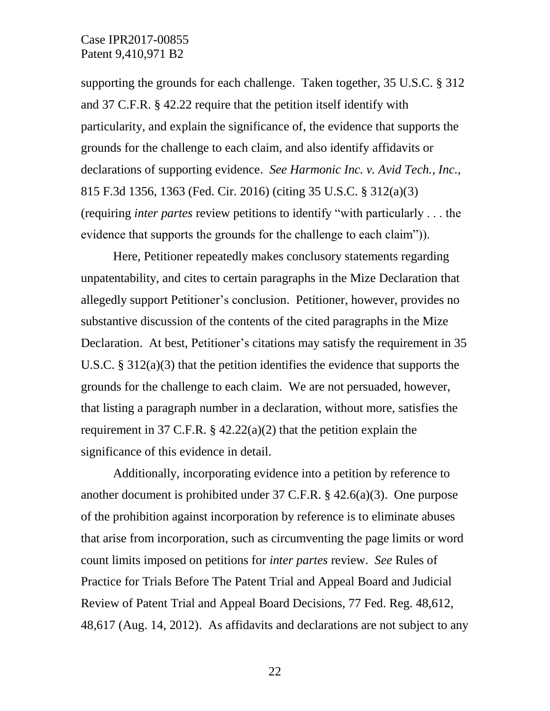supporting the grounds for each challenge. Taken together, 35 U.S.C. § 312 and 37 C.F.R. § 42.22 require that the petition itself identify with particularity, and explain the significance of, the evidence that supports the grounds for the challenge to each claim, and also identify affidavits or declarations of supporting evidence. *See Harmonic Inc. v. Avid Tech., Inc.*, 815 F.3d 1356, 1363 (Fed. Cir. 2016) (citing 35 U.S.C. § 312(a)(3) (requiring *inter partes* review petitions to identify "with particularly . . . the evidence that supports the grounds for the challenge to each claim")).

Here, Petitioner repeatedly makes conclusory statements regarding unpatentability, and cites to certain paragraphs in the Mize Declaration that allegedly support Petitioner's conclusion. Petitioner, however, provides no substantive discussion of the contents of the cited paragraphs in the Mize Declaration. At best, Petitioner's citations may satisfy the requirement in 35 U.S.C. § 312(a)(3) that the petition identifies the evidence that supports the grounds for the challenge to each claim. We are not persuaded, however, that listing a paragraph number in a declaration, without more, satisfies the requirement in 37 C.F.R.  $\S$  42.22(a)(2) that the petition explain the significance of this evidence in detail.

Additionally, incorporating evidence into a petition by reference to another document is prohibited under 37 C.F.R. § 42.6(a)(3). One purpose of the prohibition against incorporation by reference is to eliminate abuses that arise from incorporation, such as circumventing the page limits or word count limits imposed on petitions for *inter partes* review. *See* Rules of Practice for Trials Before The Patent Trial and Appeal Board and Judicial Review of Patent Trial and Appeal Board Decisions, 77 Fed. Reg. 48,612, 48,617 (Aug. 14, 2012). As affidavits and declarations are not subject to any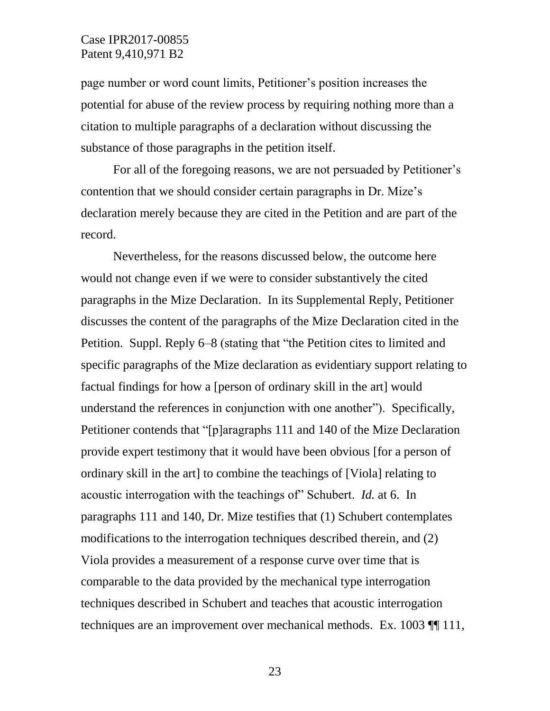page number or word count limits, Petitioner's position increases the potential for abuse of the review process by requiring nothing more than a citation to multiple paragraphs of a declaration without discussing the substance of those paragraphs in the petition itself.

For all of the foregoing reasons, we are not persuaded by Petitioner's contention that we should consider certain paragraphs in Dr. Mize's declaration merely because they are cited in the Petition and are part of the record.

Nevertheless, for the reasons discussed below, the outcome here would not change even if we were to consider substantively the cited paragraphs in the Mize Declaration. In its Supplemental Reply, Petitioner discusses the content of the paragraphs of the Mize Declaration cited in the Petition. Suppl. Reply 6–8 (stating that "the Petition cites to limited and specific paragraphs of the Mize declaration as evidentiary support relating to factual findings for how a [person of ordinary skill in the art] would understand the references in conjunction with one another"). Specifically, Petitioner contends that "[p]aragraphs 111 and 140 of the Mize Declaration provide expert testimony that it would have been obvious [for a person of ordinary skill in the art] to combine the teachings of [Viola] relating to acoustic interrogation with the teachings of" Schubert. *Id.* at 6. In paragraphs 111 and 140, Dr. Mize testifies that (1) Schubert contemplates modifications to the interrogation techniques described therein, and (2) Viola provides a measurement of a response curve over time that is comparable to the data provided by the mechanical type interrogation techniques described in Schubert and teaches that acoustic interrogation techniques are an improvement over mechanical methods. Ex. 1003 ¶¶ 111,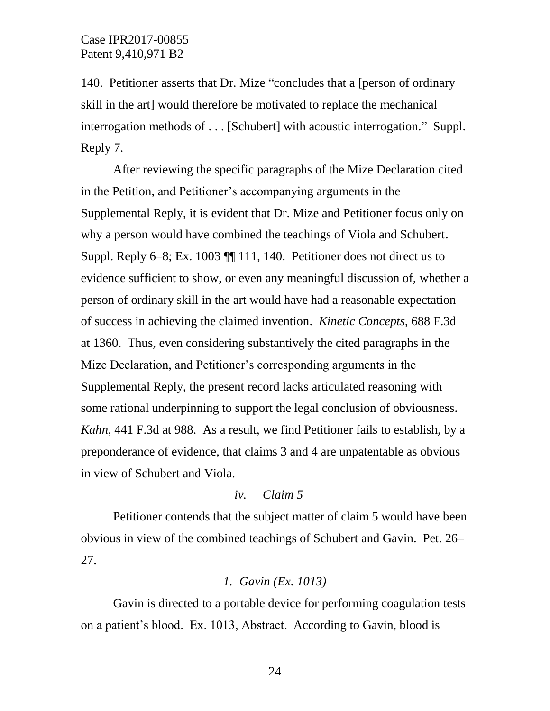140. Petitioner asserts that Dr. Mize "concludes that a [person of ordinary skill in the art] would therefore be motivated to replace the mechanical interrogation methods of . . . [Schubert] with acoustic interrogation." Suppl. Reply 7.

After reviewing the specific paragraphs of the Mize Declaration cited in the Petition, and Petitioner's accompanying arguments in the Supplemental Reply, it is evident that Dr. Mize and Petitioner focus only on why a person would have combined the teachings of Viola and Schubert. Suppl. Reply 6–8; Ex. 1003 ¶¶ 111, 140. Petitioner does not direct us to evidence sufficient to show, or even any meaningful discussion of, whether a person of ordinary skill in the art would have had a reasonable expectation of success in achieving the claimed invention. *Kinetic Concepts*, 688 F.3d at 1360. Thus, even considering substantively the cited paragraphs in the Mize Declaration, and Petitioner's corresponding arguments in the Supplemental Reply, the present record lacks articulated reasoning with some rational underpinning to support the legal conclusion of obviousness. *Kahn*, 441 F.3d at 988. As a result, we find Petitioner fails to establish, by a preponderance of evidence, that claims 3 and 4 are unpatentable as obvious in view of Schubert and Viola.

# *iv. Claim 5*

Petitioner contends that the subject matter of claim 5 would have been obvious in view of the combined teachings of Schubert and Gavin. Pet. 26– 27.

### *1. Gavin (Ex. 1013)*

Gavin is directed to a portable device for performing coagulation tests on a patient's blood. Ex. 1013, Abstract. According to Gavin, blood is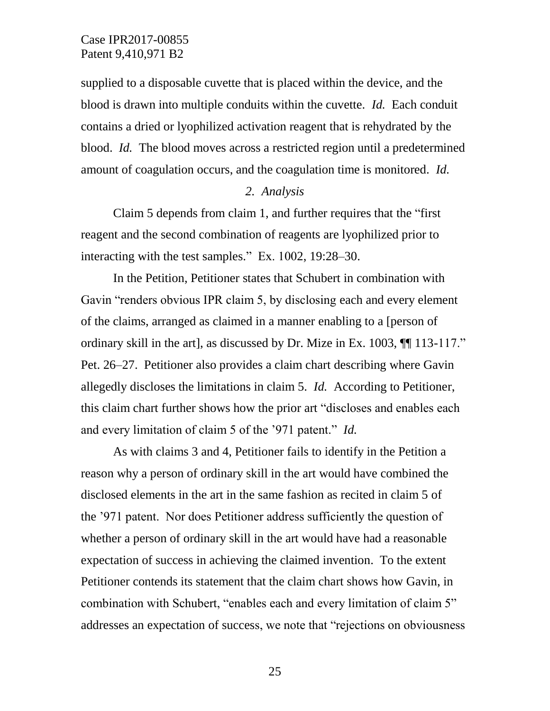supplied to a disposable cuvette that is placed within the device, and the blood is drawn into multiple conduits within the cuvette. *Id.* Each conduit contains a dried or lyophilized activation reagent that is rehydrated by the blood. *Id.* The blood moves across a restricted region until a predetermined amount of coagulation occurs, and the coagulation time is monitored. *Id.*

#### *2. Analysis*

Claim 5 depends from claim 1, and further requires that the "first reagent and the second combination of reagents are lyophilized prior to interacting with the test samples." Ex. 1002, 19:28–30.

In the Petition, Petitioner states that Schubert in combination with Gavin "renders obvious IPR claim 5, by disclosing each and every element of the claims, arranged as claimed in a manner enabling to a [person of ordinary skill in the art], as discussed by Dr. Mize in Ex. 1003, ¶¶ 113-117." Pet. 26–27. Petitioner also provides a claim chart describing where Gavin allegedly discloses the limitations in claim 5. *Id.* According to Petitioner, this claim chart further shows how the prior art "discloses and enables each and every limitation of claim 5 of the '971 patent." *Id.*

As with claims 3 and 4, Petitioner fails to identify in the Petition a reason why a person of ordinary skill in the art would have combined the disclosed elements in the art in the same fashion as recited in claim 5 of the '971 patent. Nor does Petitioner address sufficiently the question of whether a person of ordinary skill in the art would have had a reasonable expectation of success in achieving the claimed invention. To the extent Petitioner contends its statement that the claim chart shows how Gavin, in combination with Schubert, "enables each and every limitation of claim 5" addresses an expectation of success, we note that "rejections on obviousness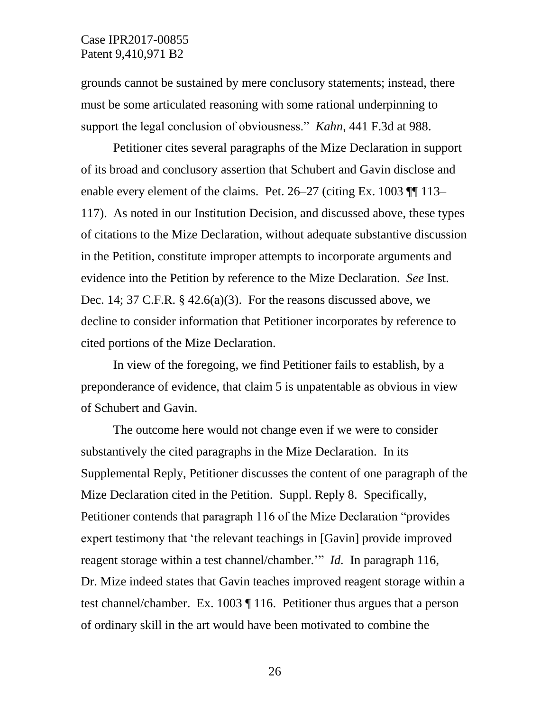grounds cannot be sustained by mere conclusory statements; instead, there must be some articulated reasoning with some rational underpinning to support the legal conclusion of obviousness." *Kahn*, 441 F.3d at 988.

Petitioner cites several paragraphs of the Mize Declaration in support of its broad and conclusory assertion that Schubert and Gavin disclose and enable every element of the claims. Pet. 26–27 (citing Ex. 1003 ¶ 113– 117). As noted in our Institution Decision, and discussed above, these types of citations to the Mize Declaration, without adequate substantive discussion in the Petition, constitute improper attempts to incorporate arguments and evidence into the Petition by reference to the Mize Declaration. *See* Inst. Dec. 14; 37 C.F.R. § 42.6(a)(3). For the reasons discussed above, we decline to consider information that Petitioner incorporates by reference to cited portions of the Mize Declaration.

In view of the foregoing, we find Petitioner fails to establish, by a preponderance of evidence, that claim 5 is unpatentable as obvious in view of Schubert and Gavin.

The outcome here would not change even if we were to consider substantively the cited paragraphs in the Mize Declaration. In its Supplemental Reply, Petitioner discusses the content of one paragraph of the Mize Declaration cited in the Petition. Suppl. Reply 8. Specifically, Petitioner contends that paragraph 116 of the Mize Declaration "provides expert testimony that 'the relevant teachings in [Gavin] provide improved reagent storage within a test channel/chamber.'" *Id.* In paragraph 116, Dr. Mize indeed states that Gavin teaches improved reagent storage within a test channel/chamber. Ex. 1003 ¶ 116. Petitioner thus argues that a person of ordinary skill in the art would have been motivated to combine the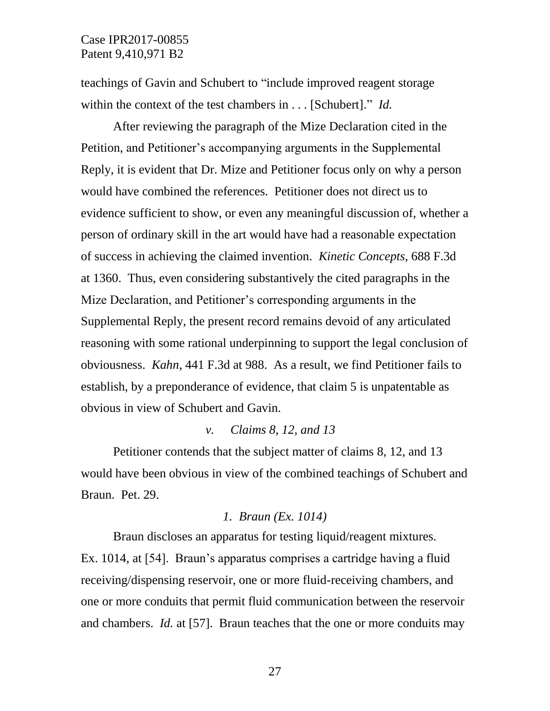teachings of Gavin and Schubert to "include improved reagent storage within the context of the test chambers in . . . [Schubert]." *Id.* 

After reviewing the paragraph of the Mize Declaration cited in the Petition, and Petitioner's accompanying arguments in the Supplemental Reply, it is evident that Dr. Mize and Petitioner focus only on why a person would have combined the references. Petitioner does not direct us to evidence sufficient to show, or even any meaningful discussion of, whether a person of ordinary skill in the art would have had a reasonable expectation of success in achieving the claimed invention. *Kinetic Concepts*, 688 F.3d at 1360. Thus, even considering substantively the cited paragraphs in the Mize Declaration, and Petitioner's corresponding arguments in the Supplemental Reply, the present record remains devoid of any articulated reasoning with some rational underpinning to support the legal conclusion of obviousness. *Kahn*, 441 F.3d at 988. As a result, we find Petitioner fails to establish, by a preponderance of evidence, that claim 5 is unpatentable as obvious in view of Schubert and Gavin.

### *v. Claims 8, 12, and 13*

Petitioner contends that the subject matter of claims 8, 12, and 13 would have been obvious in view of the combined teachings of Schubert and Braun. Pet. 29.

### *1. Braun (Ex. 1014)*

Braun discloses an apparatus for testing liquid/reagent mixtures. Ex. 1014, at [54]. Braun's apparatus comprises a cartridge having a fluid receiving/dispensing reservoir, one or more fluid-receiving chambers, and one or more conduits that permit fluid communication between the reservoir and chambers. *Id.* at [57]. Braun teaches that the one or more conduits may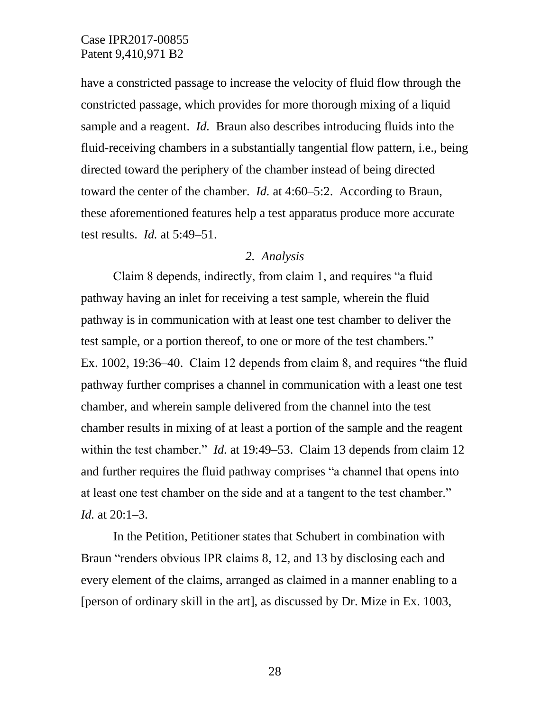have a constricted passage to increase the velocity of fluid flow through the constricted passage, which provides for more thorough mixing of a liquid sample and a reagent. *Id.* Braun also describes introducing fluids into the fluid-receiving chambers in a substantially tangential flow pattern, i.e., being directed toward the periphery of the chamber instead of being directed toward the center of the chamber. *Id.* at 4:60–5:2. According to Braun, these aforementioned features help a test apparatus produce more accurate test results. *Id.* at 5:49–51.

#### *2. Analysis*

Claim 8 depends, indirectly, from claim 1, and requires "a fluid pathway having an inlet for receiving a test sample, wherein the fluid pathway is in communication with at least one test chamber to deliver the test sample, or a portion thereof, to one or more of the test chambers." Ex. 1002, 19:36–40. Claim 12 depends from claim 8, and requires "the fluid pathway further comprises a channel in communication with a least one test chamber, and wherein sample delivered from the channel into the test chamber results in mixing of at least a portion of the sample and the reagent within the test chamber." *Id.* at 19:49–53. Claim 13 depends from claim 12 and further requires the fluid pathway comprises "a channel that opens into at least one test chamber on the side and at a tangent to the test chamber." *Id.* at 20:1–3.

In the Petition, Petitioner states that Schubert in combination with Braun "renders obvious IPR claims 8, 12, and 13 by disclosing each and every element of the claims, arranged as claimed in a manner enabling to a [person of ordinary skill in the art], as discussed by Dr. Mize in Ex. 1003,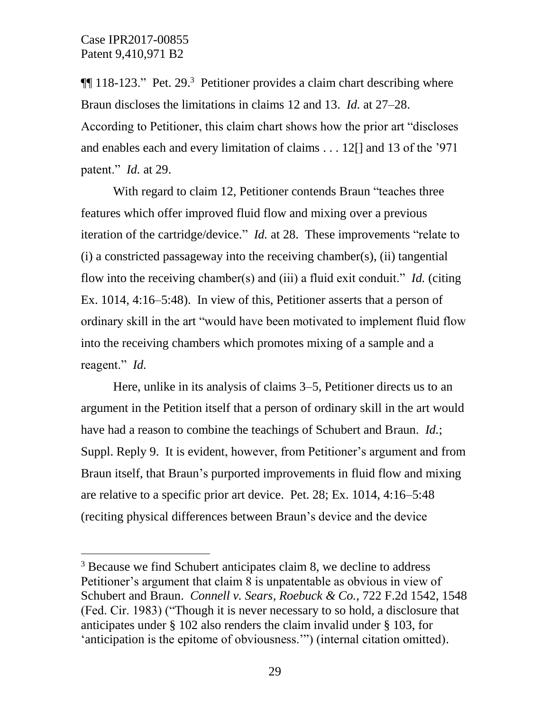l

**[118-123.**" Pet. 29.<sup>3</sup> Petitioner provides a claim chart describing where Braun discloses the limitations in claims 12 and 13. *Id.* at 27–28. According to Petitioner, this claim chart shows how the prior art "discloses and enables each and every limitation of claims . . . 12[] and 13 of the '971 patent." *Id.* at 29.

With regard to claim 12, Petitioner contends Braun "teaches three features which offer improved fluid flow and mixing over a previous iteration of the cartridge/device." *Id.* at 28. These improvements "relate to (i) a constricted passageway into the receiving chamber(s), (ii) tangential flow into the receiving chamber(s) and (iii) a fluid exit conduit." *Id.* (citing Ex. 1014, 4:16–5:48). In view of this, Petitioner asserts that a person of ordinary skill in the art "would have been motivated to implement fluid flow into the receiving chambers which promotes mixing of a sample and a reagent." *Id.*

Here, unlike in its analysis of claims 3–5, Petitioner directs us to an argument in the Petition itself that a person of ordinary skill in the art would have had a reason to combine the teachings of Schubert and Braun. *Id.*; Suppl. Reply 9. It is evident, however, from Petitioner's argument and from Braun itself, that Braun's purported improvements in fluid flow and mixing are relative to a specific prior art device. Pet. 28; Ex. 1014, 4:16–5:48 (reciting physical differences between Braun's device and the device

<sup>&</sup>lt;sup>3</sup> Because we find Schubert anticipates claim 8, we decline to address Petitioner's argument that claim 8 is unpatentable as obvious in view of Schubert and Braun. *Connell v. Sears, Roebuck & Co.*, 722 F.2d 1542, 1548 (Fed. Cir. 1983) ("Though it is never necessary to so hold, a disclosure that anticipates under § 102 also renders the claim invalid under § 103, for 'anticipation is the epitome of obviousness.'") (internal citation omitted).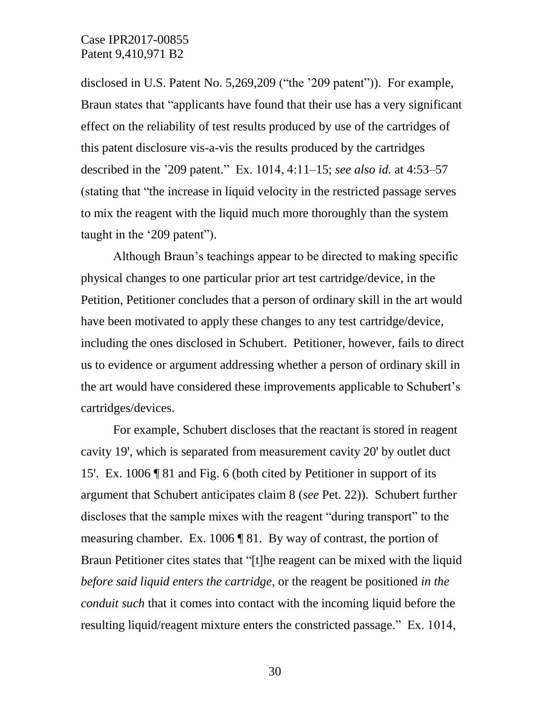disclosed in U.S. Patent No. 5,269,209 ("the '209 patent")). For example, Braun states that "applicants have found that their use has a very significant effect on the reliability of test results produced by use of the cartridges of this patent disclosure vis-a-vis the results produced by the cartridges described in the '209 patent." Ex. 1014, 4:11–15; *see also id.* at 4:53–57 (stating that "the increase in liquid velocity in the restricted passage serves to mix the reagent with the liquid much more thoroughly than the system taught in the '209 patent").

Although Braun's teachings appear to be directed to making specific physical changes to one particular prior art test cartridge/device, in the Petition, Petitioner concludes that a person of ordinary skill in the art would have been motivated to apply these changes to any test cartridge/device, including the ones disclosed in Schubert. Petitioner, however, fails to direct us to evidence or argument addressing whether a person of ordinary skill in the art would have considered these improvements applicable to Schubert's cartridges/devices.

For example, Schubert discloses that the reactant is stored in reagent cavity 19', which is separated from measurement cavity 20' by outlet duct 15'. Ex. 1006 | 81 and Fig. 6 (both cited by Petitioner in support of its argument that Schubert anticipates claim 8 (*see* Pet. 22)). Schubert further discloses that the sample mixes with the reagent "during transport" to the measuring chamber. Ex. 1006 ¶ 81. By way of contrast, the portion of Braun Petitioner cites states that "[t]he reagent can be mixed with the liquid *before said liquid enters the cartridge*, or the reagent be positioned *in the conduit such* that it comes into contact with the incoming liquid before the resulting liquid/reagent mixture enters the constricted passage." Ex. 1014,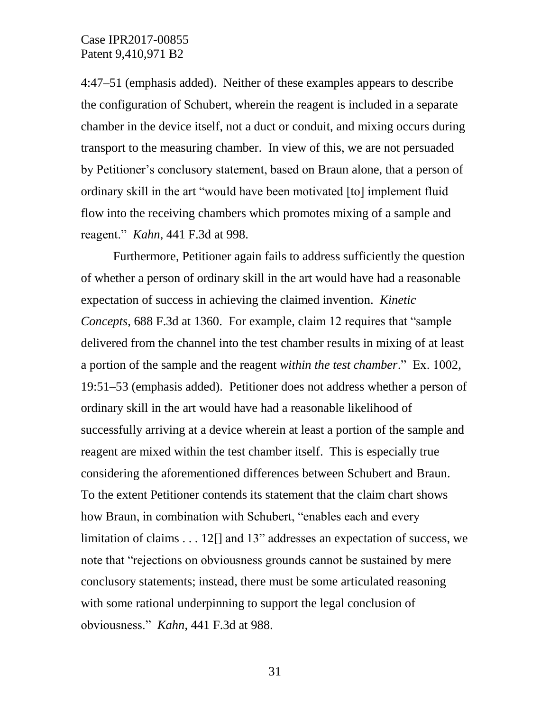4:47–51 (emphasis added). Neither of these examples appears to describe the configuration of Schubert, wherein the reagent is included in a separate chamber in the device itself, not a duct or conduit, and mixing occurs during transport to the measuring chamber. In view of this, we are not persuaded by Petitioner's conclusory statement, based on Braun alone, that a person of ordinary skill in the art "would have been motivated [to] implement fluid flow into the receiving chambers which promotes mixing of a sample and reagent." *Kahn*, 441 F.3d at 998.

Furthermore, Petitioner again fails to address sufficiently the question of whether a person of ordinary skill in the art would have had a reasonable expectation of success in achieving the claimed invention. *Kinetic Concepts*, 688 F.3d at 1360. For example, claim 12 requires that "sample delivered from the channel into the test chamber results in mixing of at least a portion of the sample and the reagent *within the test chamber*." Ex. 1002, 19:51–53 (emphasis added). Petitioner does not address whether a person of ordinary skill in the art would have had a reasonable likelihood of successfully arriving at a device wherein at least a portion of the sample and reagent are mixed within the test chamber itself. This is especially true considering the aforementioned differences between Schubert and Braun. To the extent Petitioner contends its statement that the claim chart shows how Braun, in combination with Schubert, "enables each and every limitation of claims . . . 12[] and 13" addresses an expectation of success, we note that "rejections on obviousness grounds cannot be sustained by mere conclusory statements; instead, there must be some articulated reasoning with some rational underpinning to support the legal conclusion of obviousness." *Kahn*, 441 F.3d at 988.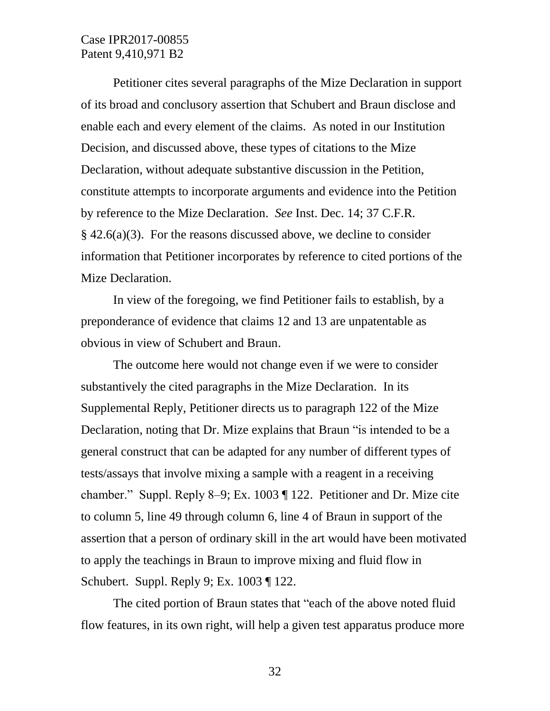Petitioner cites several paragraphs of the Mize Declaration in support of its broad and conclusory assertion that Schubert and Braun disclose and enable each and every element of the claims. As noted in our Institution Decision, and discussed above, these types of citations to the Mize Declaration, without adequate substantive discussion in the Petition, constitute attempts to incorporate arguments and evidence into the Petition by reference to the Mize Declaration. *See* Inst. Dec. 14; 37 C.F.R. § 42.6(a)(3). For the reasons discussed above, we decline to consider information that Petitioner incorporates by reference to cited portions of the Mize Declaration.

In view of the foregoing, we find Petitioner fails to establish, by a preponderance of evidence that claims 12 and 13 are unpatentable as obvious in view of Schubert and Braun.

The outcome here would not change even if we were to consider substantively the cited paragraphs in the Mize Declaration. In its Supplemental Reply, Petitioner directs us to paragraph 122 of the Mize Declaration, noting that Dr. Mize explains that Braun "is intended to be a general construct that can be adapted for any number of different types of tests/assays that involve mixing a sample with a reagent in a receiving chamber." Suppl. Reply 8–9; Ex. 1003 ¶ 122. Petitioner and Dr. Mize cite to column 5, line 49 through column 6, line 4 of Braun in support of the assertion that a person of ordinary skill in the art would have been motivated to apply the teachings in Braun to improve mixing and fluid flow in Schubert. Suppl. Reply 9; Ex. 1003 ¶ 122.

The cited portion of Braun states that "each of the above noted fluid flow features, in its own right, will help a given test apparatus produce more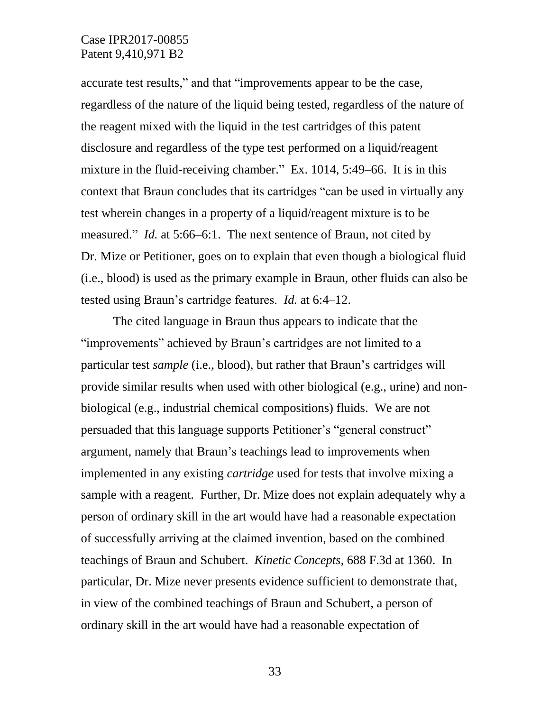accurate test results," and that "improvements appear to be the case, regardless of the nature of the liquid being tested, regardless of the nature of the reagent mixed with the liquid in the test cartridges of this patent disclosure and regardless of the type test performed on a liquid/reagent mixture in the fluid-receiving chamber." Ex. 1014, 5:49–66. It is in this context that Braun concludes that its cartridges "can be used in virtually any test wherein changes in a property of a liquid/reagent mixture is to be measured." *Id.* at 5:66–6:1. The next sentence of Braun, not cited by Dr. Mize or Petitioner, goes on to explain that even though a biological fluid (i.e., blood) is used as the primary example in Braun, other fluids can also be tested using Braun's cartridge features. *Id.* at 6:4–12.

The cited language in Braun thus appears to indicate that the "improvements" achieved by Braun's cartridges are not limited to a particular test *sample* (i.e., blood), but rather that Braun's cartridges will provide similar results when used with other biological (e.g., urine) and nonbiological (e.g., industrial chemical compositions) fluids. We are not persuaded that this language supports Petitioner's "general construct" argument, namely that Braun's teachings lead to improvements when implemented in any existing *cartridge* used for tests that involve mixing a sample with a reagent. Further, Dr. Mize does not explain adequately why a person of ordinary skill in the art would have had a reasonable expectation of successfully arriving at the claimed invention, based on the combined teachings of Braun and Schubert. *Kinetic Concepts*, 688 F.3d at 1360. In particular, Dr. Mize never presents evidence sufficient to demonstrate that, in view of the combined teachings of Braun and Schubert, a person of ordinary skill in the art would have had a reasonable expectation of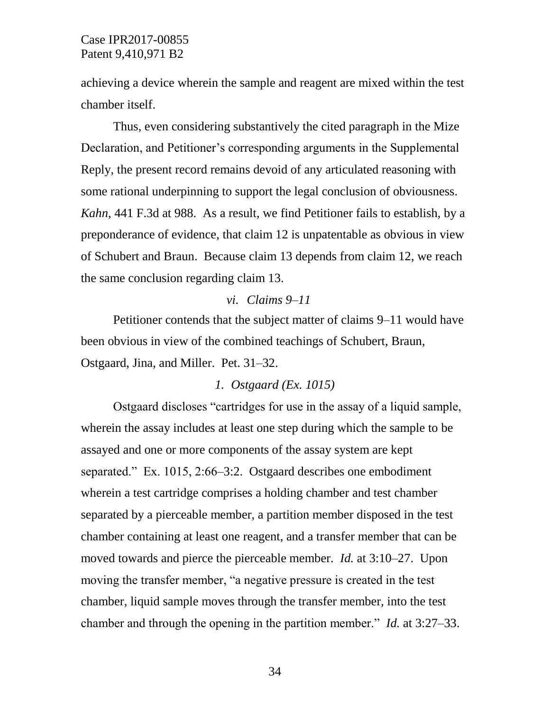achieving a device wherein the sample and reagent are mixed within the test chamber itself.

Thus, even considering substantively the cited paragraph in the Mize Declaration, and Petitioner's corresponding arguments in the Supplemental Reply, the present record remains devoid of any articulated reasoning with some rational underpinning to support the legal conclusion of obviousness. *Kahn*, 441 F.3d at 988. As a result, we find Petitioner fails to establish, by a preponderance of evidence, that claim 12 is unpatentable as obvious in view of Schubert and Braun. Because claim 13 depends from claim 12, we reach the same conclusion regarding claim 13.

### *vi. Claims 9–11*

Petitioner contends that the subject matter of claims 9–11 would have been obvious in view of the combined teachings of Schubert, Braun, Ostgaard, Jina, and Miller. Pet. 31–32.

### *1. Ostgaard (Ex. 1015)*

Ostgaard discloses "cartridges for use in the assay of a liquid sample, wherein the assay includes at least one step during which the sample to be assayed and one or more components of the assay system are kept separated." Ex. 1015, 2:66–3:2. Ostgaard describes one embodiment wherein a test cartridge comprises a holding chamber and test chamber separated by a pierceable member, a partition member disposed in the test chamber containing at least one reagent, and a transfer member that can be moved towards and pierce the pierceable member. *Id.* at 3:10–27. Upon moving the transfer member, "a negative pressure is created in the test chamber, liquid sample moves through the transfer member, into the test chamber and through the opening in the partition member." *Id.* at 3:27–33.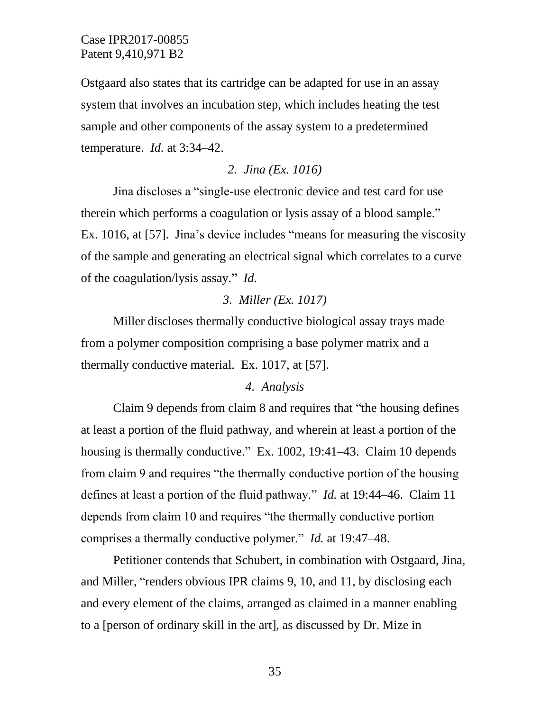Ostgaard also states that its cartridge can be adapted for use in an assay system that involves an incubation step, which includes heating the test sample and other components of the assay system to a predetermined temperature. *Id.* at 3:34–42.

### *2. Jina (Ex. 1016)*

Jina discloses a "single-use electronic device and test card for use therein which performs a coagulation or lysis assay of a blood sample." Ex. 1016, at [57]. Jina's device includes "means for measuring the viscosity of the sample and generating an electrical signal which correlates to a curve of the coagulation/lysis assay." *Id.*

### *3. Miller (Ex. 1017)*

Miller discloses thermally conductive biological assay trays made from a polymer composition comprising a base polymer matrix and a thermally conductive material. Ex. 1017, at [57].

### *4. Analysis*

Claim 9 depends from claim 8 and requires that "the housing defines at least a portion of the fluid pathway, and wherein at least a portion of the housing is thermally conductive." Ex. 1002, 19:41–43. Claim 10 depends from claim 9 and requires "the thermally conductive portion of the housing defines at least a portion of the fluid pathway." *Id.* at 19:44–46. Claim 11 depends from claim 10 and requires "the thermally conductive portion comprises a thermally conductive polymer." *Id.* at 19:47–48.

Petitioner contends that Schubert, in combination with Ostgaard, Jina, and Miller, "renders obvious IPR claims 9, 10, and 11, by disclosing each and every element of the claims, arranged as claimed in a manner enabling to a [person of ordinary skill in the art], as discussed by Dr. Mize in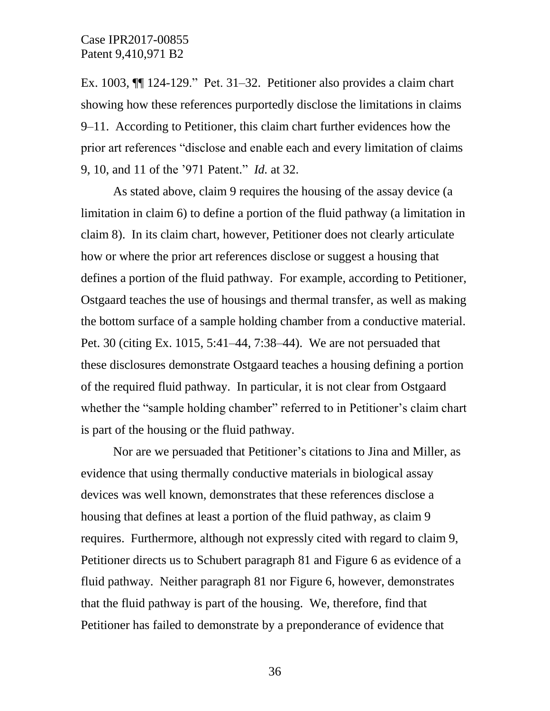Ex. 1003, ¶¶ 124-129." Pet. 31–32. Petitioner also provides a claim chart showing how these references purportedly disclose the limitations in claims 9–11. According to Petitioner, this claim chart further evidences how the prior art references "disclose and enable each and every limitation of claims 9, 10, and 11 of the '971 Patent." *Id.* at 32.

As stated above, claim 9 requires the housing of the assay device (a limitation in claim 6) to define a portion of the fluid pathway (a limitation in claim 8). In its claim chart, however, Petitioner does not clearly articulate how or where the prior art references disclose or suggest a housing that defines a portion of the fluid pathway. For example, according to Petitioner, Ostgaard teaches the use of housings and thermal transfer, as well as making the bottom surface of a sample holding chamber from a conductive material. Pet. 30 (citing Ex. 1015, 5:41–44, 7:38–44). We are not persuaded that these disclosures demonstrate Ostgaard teaches a housing defining a portion of the required fluid pathway. In particular, it is not clear from Ostgaard whether the "sample holding chamber" referred to in Petitioner's claim chart is part of the housing or the fluid pathway.

Nor are we persuaded that Petitioner's citations to Jina and Miller, as evidence that using thermally conductive materials in biological assay devices was well known, demonstrates that these references disclose a housing that defines at least a portion of the fluid pathway, as claim 9 requires. Furthermore, although not expressly cited with regard to claim 9, Petitioner directs us to Schubert paragraph 81 and Figure 6 as evidence of a fluid pathway. Neither paragraph 81 nor Figure 6, however, demonstrates that the fluid pathway is part of the housing. We, therefore, find that Petitioner has failed to demonstrate by a preponderance of evidence that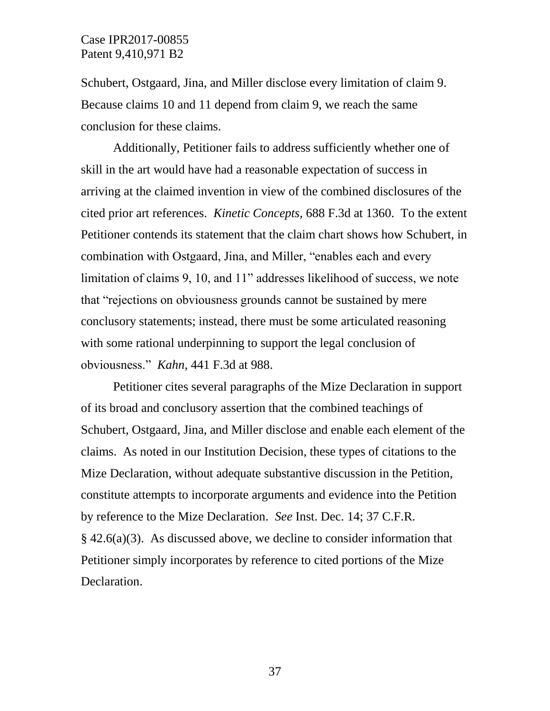Schubert, Ostgaard, Jina, and Miller disclose every limitation of claim 9. Because claims 10 and 11 depend from claim 9, we reach the same conclusion for these claims.

Additionally, Petitioner fails to address sufficiently whether one of skill in the art would have had a reasonable expectation of success in arriving at the claimed invention in view of the combined disclosures of the cited prior art references. *Kinetic Concepts*, 688 F.3d at 1360. To the extent Petitioner contends its statement that the claim chart shows how Schubert, in combination with Ostgaard, Jina, and Miller, "enables each and every limitation of claims 9, 10, and 11" addresses likelihood of success, we note that "rejections on obviousness grounds cannot be sustained by mere conclusory statements; instead, there must be some articulated reasoning with some rational underpinning to support the legal conclusion of obviousness." *Kahn*, 441 F.3d at 988.

Petitioner cites several paragraphs of the Mize Declaration in support of its broad and conclusory assertion that the combined teachings of Schubert, Ostgaard, Jina, and Miller disclose and enable each element of the claims. As noted in our Institution Decision, these types of citations to the Mize Declaration, without adequate substantive discussion in the Petition, constitute attempts to incorporate arguments and evidence into the Petition by reference to the Mize Declaration. *See* Inst. Dec. 14; 37 C.F.R. § 42.6(a)(3). As discussed above, we decline to consider information that Petitioner simply incorporates by reference to cited portions of the Mize Declaration.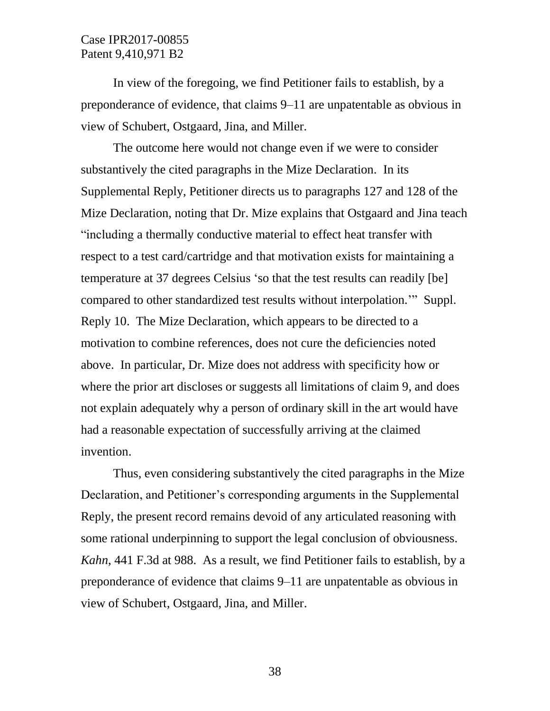In view of the foregoing, we find Petitioner fails to establish, by a preponderance of evidence, that claims 9–11 are unpatentable as obvious in view of Schubert, Ostgaard, Jina, and Miller.

The outcome here would not change even if we were to consider substantively the cited paragraphs in the Mize Declaration. In its Supplemental Reply, Petitioner directs us to paragraphs 127 and 128 of the Mize Declaration, noting that Dr. Mize explains that Ostgaard and Jina teach "including a thermally conductive material to effect heat transfer with respect to a test card/cartridge and that motivation exists for maintaining a temperature at 37 degrees Celsius 'so that the test results can readily [be] compared to other standardized test results without interpolation.'" Suppl. Reply 10. The Mize Declaration, which appears to be directed to a motivation to combine references, does not cure the deficiencies noted above. In particular, Dr. Mize does not address with specificity how or where the prior art discloses or suggests all limitations of claim 9, and does not explain adequately why a person of ordinary skill in the art would have had a reasonable expectation of successfully arriving at the claimed invention.

Thus, even considering substantively the cited paragraphs in the Mize Declaration, and Petitioner's corresponding arguments in the Supplemental Reply, the present record remains devoid of any articulated reasoning with some rational underpinning to support the legal conclusion of obviousness. *Kahn*, 441 F.3d at 988. As a result, we find Petitioner fails to establish, by a preponderance of evidence that claims 9–11 are unpatentable as obvious in view of Schubert, Ostgaard, Jina, and Miller.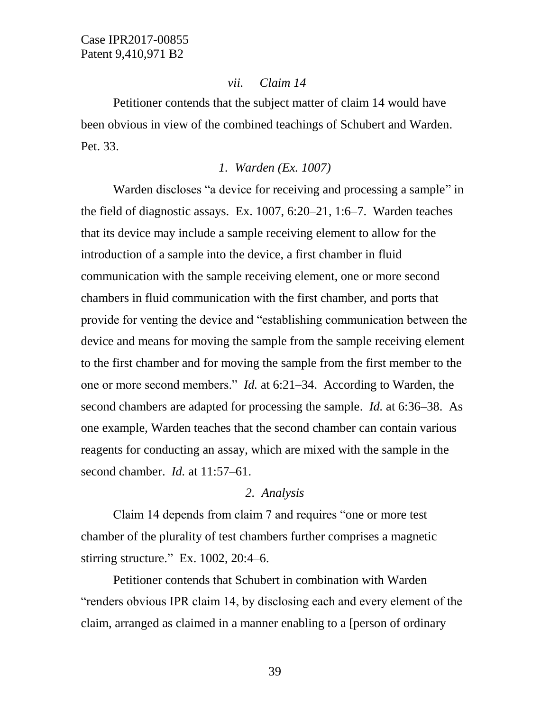### *vii. Claim 14*

Petitioner contends that the subject matter of claim 14 would have been obvious in view of the combined teachings of Schubert and Warden. Pet. 33.

### *1. Warden (Ex. 1007)*

Warden discloses "a device for receiving and processing a sample" in the field of diagnostic assays. Ex. 1007, 6:20–21, 1:6–7. Warden teaches that its device may include a sample receiving element to allow for the introduction of a sample into the device, a first chamber in fluid communication with the sample receiving element, one or more second chambers in fluid communication with the first chamber, and ports that provide for venting the device and "establishing communication between the device and means for moving the sample from the sample receiving element to the first chamber and for moving the sample from the first member to the one or more second members." *Id.* at 6:21–34. According to Warden, the second chambers are adapted for processing the sample. *Id.* at 6:36–38. As one example, Warden teaches that the second chamber can contain various reagents for conducting an assay, which are mixed with the sample in the second chamber. *Id.* at 11:57–61.

### *2. Analysis*

Claim 14 depends from claim 7 and requires "one or more test chamber of the plurality of test chambers further comprises a magnetic stirring structure." Ex. 1002, 20:4–6.

Petitioner contends that Schubert in combination with Warden "renders obvious IPR claim 14, by disclosing each and every element of the claim, arranged as claimed in a manner enabling to a [person of ordinary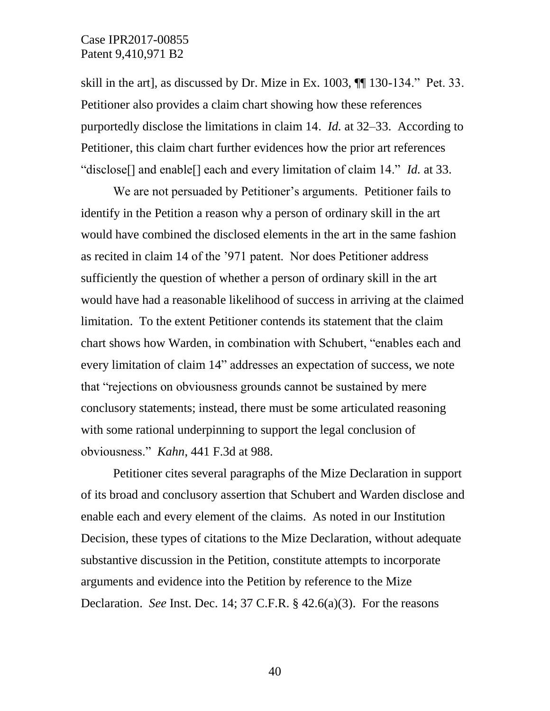skill in the art], as discussed by Dr. Mize in Ex. 1003, ¶¶ 130-134." Pet. 33. Petitioner also provides a claim chart showing how these references purportedly disclose the limitations in claim 14. *Id.* at 32–33. According to Petitioner, this claim chart further evidences how the prior art references "disclose[] and enable[] each and every limitation of claim 14." *Id.* at 33.

We are not persuaded by Petitioner's arguments. Petitioner fails to identify in the Petition a reason why a person of ordinary skill in the art would have combined the disclosed elements in the art in the same fashion as recited in claim 14 of the '971 patent. Nor does Petitioner address sufficiently the question of whether a person of ordinary skill in the art would have had a reasonable likelihood of success in arriving at the claimed limitation. To the extent Petitioner contends its statement that the claim chart shows how Warden, in combination with Schubert, "enables each and every limitation of claim 14" addresses an expectation of success, we note that "rejections on obviousness grounds cannot be sustained by mere conclusory statements; instead, there must be some articulated reasoning with some rational underpinning to support the legal conclusion of obviousness." *Kahn*, 441 F.3d at 988.

Petitioner cites several paragraphs of the Mize Declaration in support of its broad and conclusory assertion that Schubert and Warden disclose and enable each and every element of the claims. As noted in our Institution Decision, these types of citations to the Mize Declaration, without adequate substantive discussion in the Petition, constitute attempts to incorporate arguments and evidence into the Petition by reference to the Mize Declaration. *See* Inst. Dec. 14; 37 C.F.R. § 42.6(a)(3). For the reasons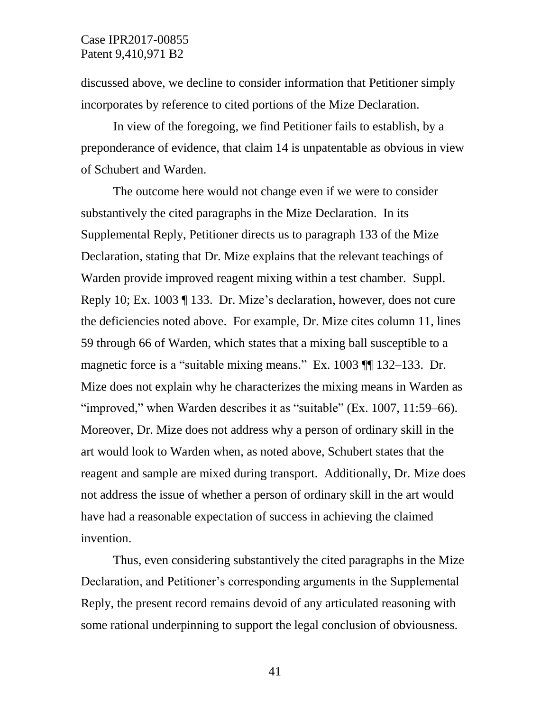discussed above, we decline to consider information that Petitioner simply incorporates by reference to cited portions of the Mize Declaration.

In view of the foregoing, we find Petitioner fails to establish, by a preponderance of evidence, that claim 14 is unpatentable as obvious in view of Schubert and Warden.

The outcome here would not change even if we were to consider substantively the cited paragraphs in the Mize Declaration. In its Supplemental Reply, Petitioner directs us to paragraph 133 of the Mize Declaration, stating that Dr. Mize explains that the relevant teachings of Warden provide improved reagent mixing within a test chamber. Suppl. Reply 10; Ex. 1003 ¶ 133. Dr. Mize's declaration, however, does not cure the deficiencies noted above. For example, Dr. Mize cites column 11, lines 59 through 66 of Warden, which states that a mixing ball susceptible to a magnetic force is a "suitable mixing means." Ex. 1003 ¶¶ 132–133. Dr. Mize does not explain why he characterizes the mixing means in Warden as "improved," when Warden describes it as "suitable" (Ex. 1007, 11:59–66). Moreover, Dr. Mize does not address why a person of ordinary skill in the art would look to Warden when, as noted above, Schubert states that the reagent and sample are mixed during transport. Additionally, Dr. Mize does not address the issue of whether a person of ordinary skill in the art would have had a reasonable expectation of success in achieving the claimed invention.

Thus, even considering substantively the cited paragraphs in the Mize Declaration, and Petitioner's corresponding arguments in the Supplemental Reply, the present record remains devoid of any articulated reasoning with some rational underpinning to support the legal conclusion of obviousness.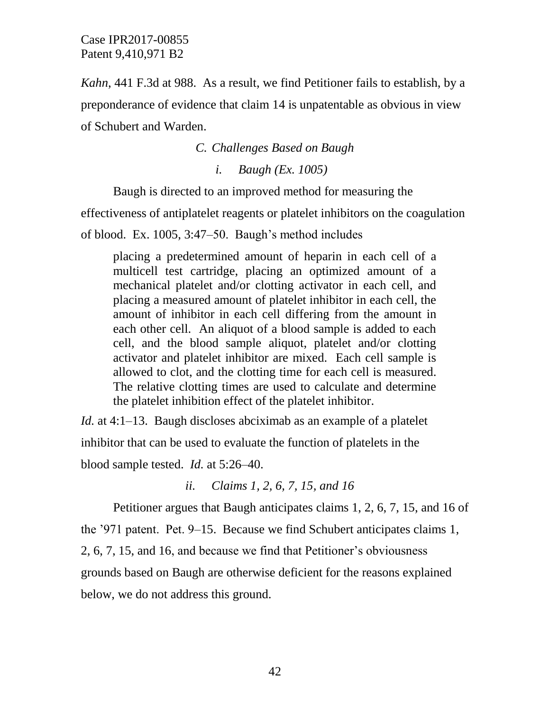*Kahn*, 441 F.3d at 988. As a result, we find Petitioner fails to establish, by a preponderance of evidence that claim 14 is unpatentable as obvious in view of Schubert and Warden.

*C. Challenges Based on Baugh*

*i. Baugh (Ex. 1005)*

Baugh is directed to an improved method for measuring the

effectiveness of antiplatelet reagents or platelet inhibitors on the coagulation

of blood. Ex. 1005, 3:47–50. Baugh's method includes

placing a predetermined amount of heparin in each cell of a multicell test cartridge, placing an optimized amount of a mechanical platelet and/or clotting activator in each cell, and placing a measured amount of platelet inhibitor in each cell, the amount of inhibitor in each cell differing from the amount in each other cell. An aliquot of a blood sample is added to each cell, and the blood sample aliquot, platelet and/or clotting activator and platelet inhibitor are mixed. Each cell sample is allowed to clot, and the clotting time for each cell is measured. The relative clotting times are used to calculate and determine the platelet inhibition effect of the platelet inhibitor.

*Id.* at 4:1–13. Baugh discloses abciximab as an example of a platelet inhibitor that can be used to evaluate the function of platelets in the blood sample tested. *Id.* at 5:26–40.

*ii. Claims 1, 2, 6, 7, 15, and 16*

Petitioner argues that Baugh anticipates claims 1, 2, 6, 7, 15, and 16 of the '971 patent. Pet. 9–15. Because we find Schubert anticipates claims 1, 2, 6, 7, 15, and 16, and because we find that Petitioner's obviousness grounds based on Baugh are otherwise deficient for the reasons explained below, we do not address this ground.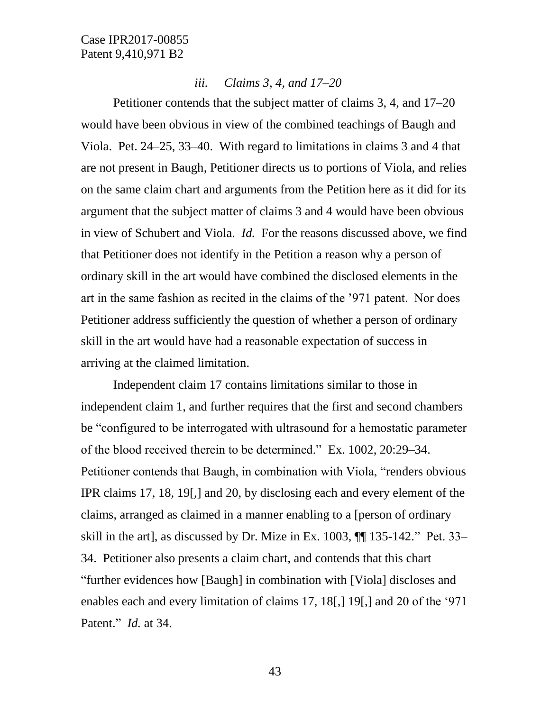### *iii. Claims 3, 4, and 17–20*

Petitioner contends that the subject matter of claims 3, 4, and 17–20 would have been obvious in view of the combined teachings of Baugh and Viola. Pet. 24–25, 33–40. With regard to limitations in claims 3 and 4 that are not present in Baugh, Petitioner directs us to portions of Viola, and relies on the same claim chart and arguments from the Petition here as it did for its argument that the subject matter of claims 3 and 4 would have been obvious in view of Schubert and Viola. *Id.* For the reasons discussed above, we find that Petitioner does not identify in the Petition a reason why a person of ordinary skill in the art would have combined the disclosed elements in the art in the same fashion as recited in the claims of the '971 patent. Nor does Petitioner address sufficiently the question of whether a person of ordinary skill in the art would have had a reasonable expectation of success in arriving at the claimed limitation.

Independent claim 17 contains limitations similar to those in independent claim 1, and further requires that the first and second chambers be "configured to be interrogated with ultrasound for a hemostatic parameter of the blood received therein to be determined." Ex. 1002, 20:29–34. Petitioner contends that Baugh, in combination with Viola, "renders obvious IPR claims 17, 18, 19[,] and 20, by disclosing each and every element of the claims, arranged as claimed in a manner enabling to a [person of ordinary skill in the art], as discussed by Dr. Mize in Ex. 1003, ¶¶ 135-142." Pet. 33– 34. Petitioner also presents a claim chart, and contends that this chart "further evidences how [Baugh] in combination with [Viola] discloses and enables each and every limitation of claims 17, 18[,] 19[,] and 20 of the '971 Patent." *Id.* at 34.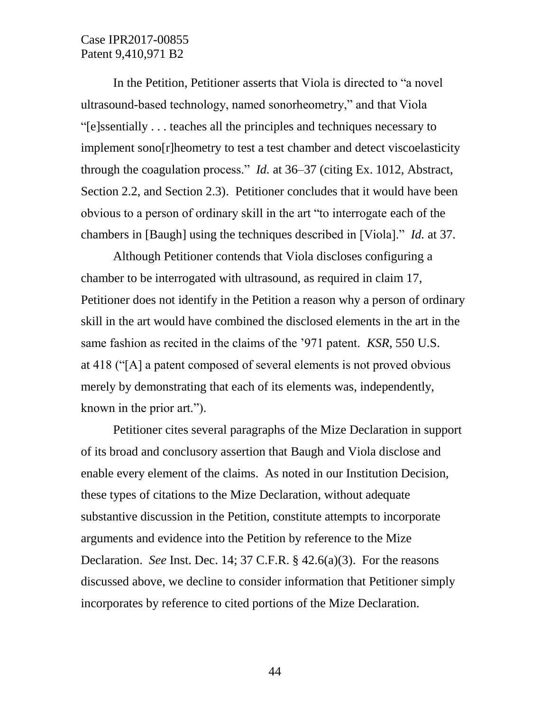In the Petition, Petitioner asserts that Viola is directed to "a novel ultrasound-based technology, named sonorheometry," and that Viola "[e]ssentially . . . teaches all the principles and techniques necessary to implement sono[r]heometry to test a test chamber and detect viscoelasticity through the coagulation process." *Id.* at 36–37 (citing Ex. 1012, Abstract, Section 2.2, and Section 2.3). Petitioner concludes that it would have been obvious to a person of ordinary skill in the art "to interrogate each of the chambers in [Baugh] using the techniques described in [Viola]." *Id.* at 37.

Although Petitioner contends that Viola discloses configuring a chamber to be interrogated with ultrasound, as required in claim 17, Petitioner does not identify in the Petition a reason why a person of ordinary skill in the art would have combined the disclosed elements in the art in the same fashion as recited in the claims of the '971 patent. *KSR*, 550 U.S. at 418 ("[A] a patent composed of several elements is not proved obvious merely by demonstrating that each of its elements was, independently, known in the prior art.").

Petitioner cites several paragraphs of the Mize Declaration in support of its broad and conclusory assertion that Baugh and Viola disclose and enable every element of the claims. As noted in our Institution Decision, these types of citations to the Mize Declaration, without adequate substantive discussion in the Petition, constitute attempts to incorporate arguments and evidence into the Petition by reference to the Mize Declaration. *See* Inst. Dec. 14; 37 C.F.R. § 42.6(a)(3). For the reasons discussed above, we decline to consider information that Petitioner simply incorporates by reference to cited portions of the Mize Declaration.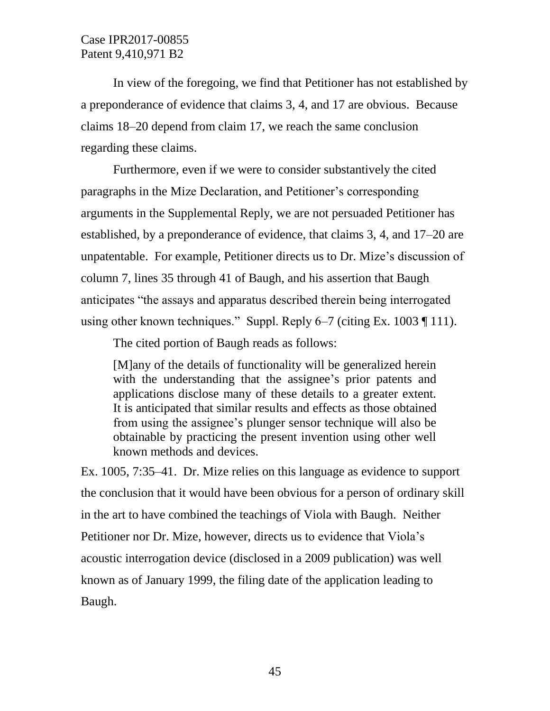In view of the foregoing, we find that Petitioner has not established by a preponderance of evidence that claims 3, 4, and 17 are obvious. Because claims 18–20 depend from claim 17, we reach the same conclusion regarding these claims.

Furthermore, even if we were to consider substantively the cited paragraphs in the Mize Declaration, and Petitioner's corresponding arguments in the Supplemental Reply, we are not persuaded Petitioner has established, by a preponderance of evidence, that claims 3, 4, and 17–20 are unpatentable. For example, Petitioner directs us to Dr. Mize's discussion of column 7, lines 35 through 41 of Baugh, and his assertion that Baugh anticipates "the assays and apparatus described therein being interrogated using other known techniques." Suppl. Reply 6–7 (citing Ex. 1003 ¶ 111).

The cited portion of Baugh reads as follows:

[M]any of the details of functionality will be generalized herein with the understanding that the assignee's prior patents and applications disclose many of these details to a greater extent. It is anticipated that similar results and effects as those obtained from using the assignee's plunger sensor technique will also be obtainable by practicing the present invention using other well known methods and devices.

Ex. 1005, 7:35–41. Dr. Mize relies on this language as evidence to support the conclusion that it would have been obvious for a person of ordinary skill in the art to have combined the teachings of Viola with Baugh. Neither Petitioner nor Dr. Mize, however, directs us to evidence that Viola's acoustic interrogation device (disclosed in a 2009 publication) was well known as of January 1999, the filing date of the application leading to Baugh.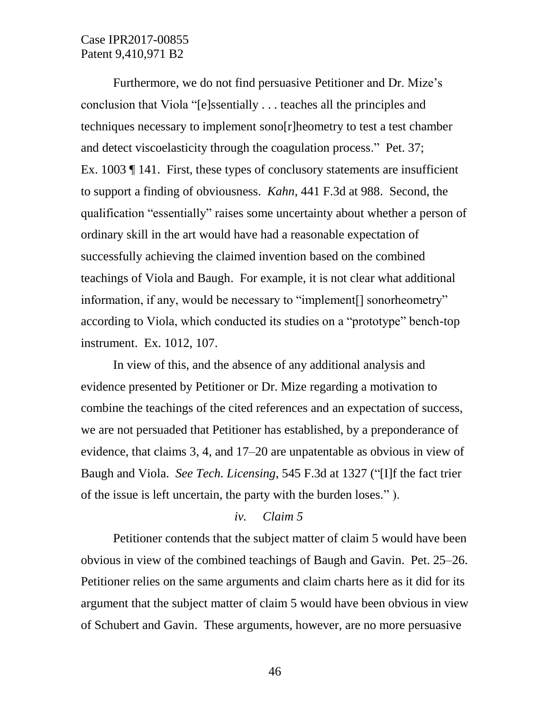Furthermore, we do not find persuasive Petitioner and Dr. Mize's conclusion that Viola "[e]ssentially . . . teaches all the principles and techniques necessary to implement sono[r]heometry to test a test chamber and detect viscoelasticity through the coagulation process." Pet. 37; Ex. 1003 ¶ 141. First, these types of conclusory statements are insufficient to support a finding of obviousness. *Kahn*, 441 F.3d at 988. Second, the qualification "essentially" raises some uncertainty about whether a person of ordinary skill in the art would have had a reasonable expectation of successfully achieving the claimed invention based on the combined teachings of Viola and Baugh. For example, it is not clear what additional information, if any, would be necessary to "implement[] sonorheometry" according to Viola, which conducted its studies on a "prototype" bench-top instrument. Ex. 1012, 107.

In view of this, and the absence of any additional analysis and evidence presented by Petitioner or Dr. Mize regarding a motivation to combine the teachings of the cited references and an expectation of success, we are not persuaded that Petitioner has established, by a preponderance of evidence, that claims 3, 4, and 17–20 are unpatentable as obvious in view of Baugh and Viola. *See Tech. Licensing*, 545 F.3d at 1327 ("[I]f the fact trier of the issue is left uncertain, the party with the burden loses." ).

### *iv. Claim 5*

Petitioner contends that the subject matter of claim 5 would have been obvious in view of the combined teachings of Baugh and Gavin. Pet. 25–26. Petitioner relies on the same arguments and claim charts here as it did for its argument that the subject matter of claim 5 would have been obvious in view of Schubert and Gavin. These arguments, however, are no more persuasive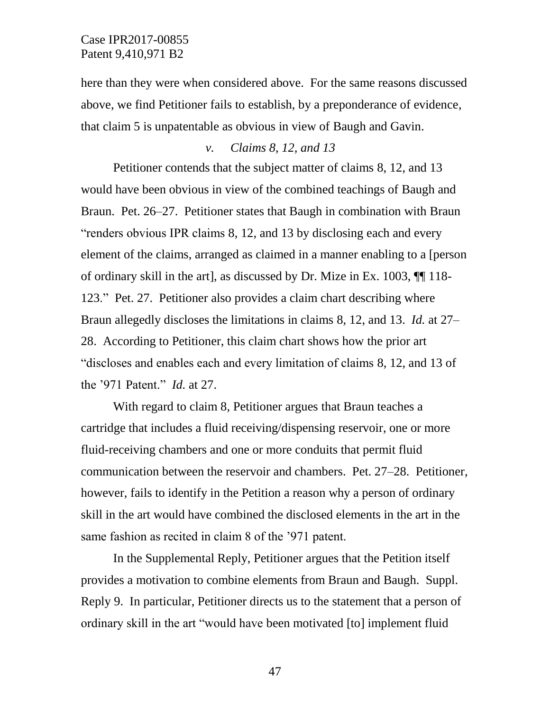here than they were when considered above. For the same reasons discussed above, we find Petitioner fails to establish, by a preponderance of evidence, that claim 5 is unpatentable as obvious in view of Baugh and Gavin.

### *v. Claims 8, 12, and 13*

Petitioner contends that the subject matter of claims 8, 12, and 13 would have been obvious in view of the combined teachings of Baugh and Braun. Pet. 26–27. Petitioner states that Baugh in combination with Braun "renders obvious IPR claims 8, 12, and 13 by disclosing each and every element of the claims, arranged as claimed in a manner enabling to a [person of ordinary skill in the art], as discussed by Dr. Mize in Ex. 1003, ¶¶ 118- 123." Pet. 27. Petitioner also provides a claim chart describing where Braun allegedly discloses the limitations in claims 8, 12, and 13. *Id.* at 27– 28. According to Petitioner, this claim chart shows how the prior art "discloses and enables each and every limitation of claims 8, 12, and 13 of the '971 Patent." *Id.* at 27.

With regard to claim 8, Petitioner argues that Braun teaches a cartridge that includes a fluid receiving/dispensing reservoir, one or more fluid-receiving chambers and one or more conduits that permit fluid communication between the reservoir and chambers. Pet. 27–28. Petitioner, however, fails to identify in the Petition a reason why a person of ordinary skill in the art would have combined the disclosed elements in the art in the same fashion as recited in claim 8 of the '971 patent.

In the Supplemental Reply, Petitioner argues that the Petition itself provides a motivation to combine elements from Braun and Baugh. Suppl. Reply 9. In particular, Petitioner directs us to the statement that a person of ordinary skill in the art "would have been motivated [to] implement fluid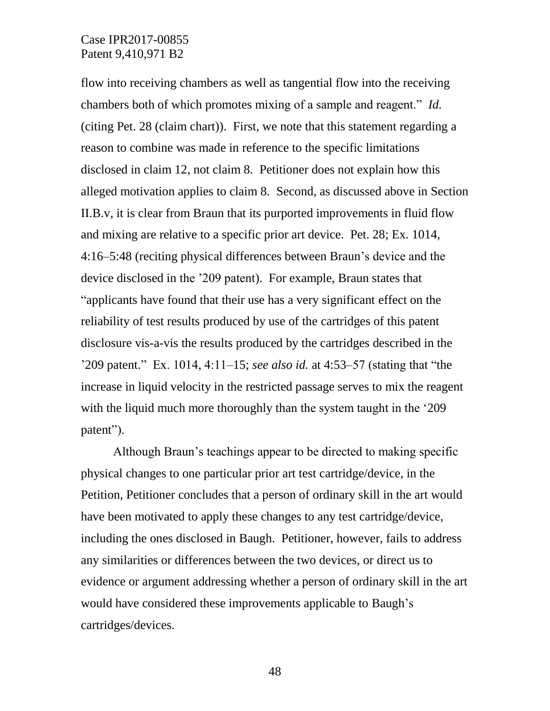flow into receiving chambers as well as tangential flow into the receiving chambers both of which promotes mixing of a sample and reagent." *Id.* (citing Pet. 28 (claim chart)). First, we note that this statement regarding a reason to combine was made in reference to the specific limitations disclosed in claim 12, not claim 8. Petitioner does not explain how this alleged motivation applies to claim 8. Second, as discussed above in Section II.B.v, it is clear from Braun that its purported improvements in fluid flow and mixing are relative to a specific prior art device. Pet. 28; Ex. 1014, 4:16–5:48 (reciting physical differences between Braun's device and the device disclosed in the '209 patent). For example, Braun states that "applicants have found that their use has a very significant effect on the reliability of test results produced by use of the cartridges of this patent disclosure vis-a-vis the results produced by the cartridges described in the '209 patent." Ex. 1014, 4:11–15; *see also id.* at 4:53–57 (stating that "the increase in liquid velocity in the restricted passage serves to mix the reagent with the liquid much more thoroughly than the system taught in the '209 patent").

Although Braun's teachings appear to be directed to making specific physical changes to one particular prior art test cartridge/device, in the Petition, Petitioner concludes that a person of ordinary skill in the art would have been motivated to apply these changes to any test cartridge/device, including the ones disclosed in Baugh. Petitioner, however, fails to address any similarities or differences between the two devices, or direct us to evidence or argument addressing whether a person of ordinary skill in the art would have considered these improvements applicable to Baugh's cartridges/devices.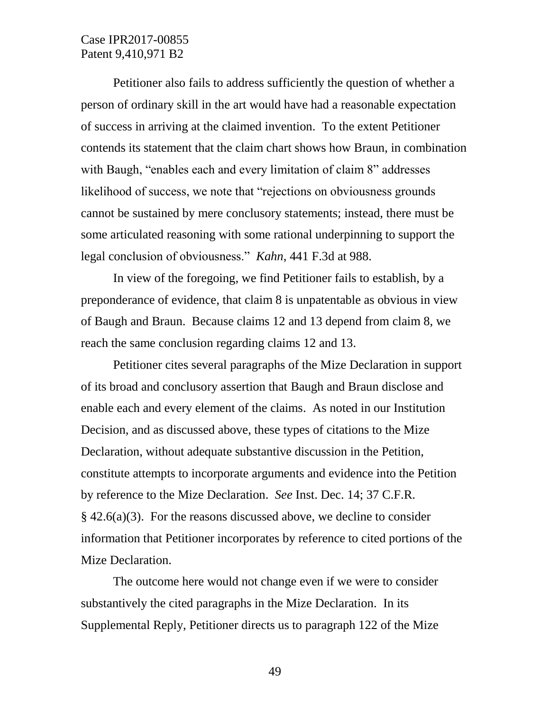Petitioner also fails to address sufficiently the question of whether a person of ordinary skill in the art would have had a reasonable expectation of success in arriving at the claimed invention. To the extent Petitioner contends its statement that the claim chart shows how Braun, in combination with Baugh, "enables each and every limitation of claim 8" addresses likelihood of success, we note that "rejections on obviousness grounds cannot be sustained by mere conclusory statements; instead, there must be some articulated reasoning with some rational underpinning to support the legal conclusion of obviousness." *Kahn*, 441 F.3d at 988.

In view of the foregoing, we find Petitioner fails to establish, by a preponderance of evidence, that claim 8 is unpatentable as obvious in view of Baugh and Braun. Because claims 12 and 13 depend from claim 8, we reach the same conclusion regarding claims 12 and 13.

Petitioner cites several paragraphs of the Mize Declaration in support of its broad and conclusory assertion that Baugh and Braun disclose and enable each and every element of the claims. As noted in our Institution Decision, and as discussed above, these types of citations to the Mize Declaration, without adequate substantive discussion in the Petition, constitute attempts to incorporate arguments and evidence into the Petition by reference to the Mize Declaration. *See* Inst. Dec. 14; 37 C.F.R.  $§$  42.6(a)(3). For the reasons discussed above, we decline to consider information that Petitioner incorporates by reference to cited portions of the Mize Declaration.

The outcome here would not change even if we were to consider substantively the cited paragraphs in the Mize Declaration. In its Supplemental Reply, Petitioner directs us to paragraph 122 of the Mize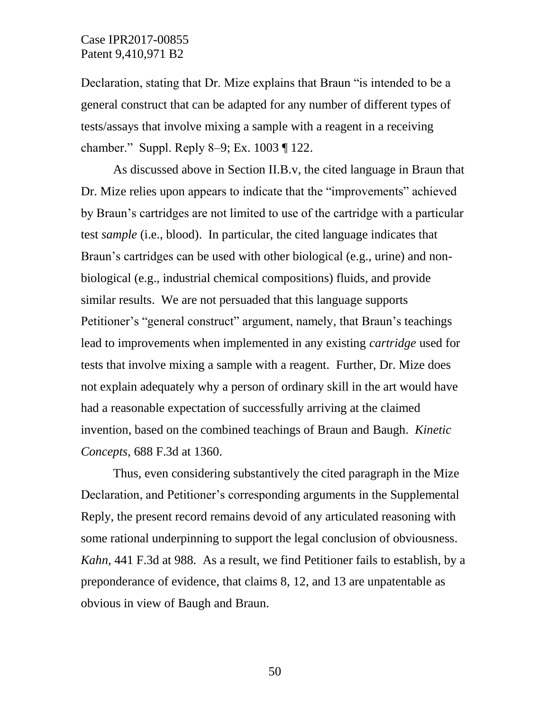Declaration, stating that Dr. Mize explains that Braun "is intended to be a general construct that can be adapted for any number of different types of tests/assays that involve mixing a sample with a reagent in a receiving chamber." Suppl. Reply 8–9; Ex. 1003 ¶ 122.

As discussed above in Section II.B.v, the cited language in Braun that Dr. Mize relies upon appears to indicate that the "improvements" achieved by Braun's cartridges are not limited to use of the cartridge with a particular test *sample* (i.e., blood). In particular, the cited language indicates that Braun's cartridges can be used with other biological (e.g., urine) and nonbiological (e.g., industrial chemical compositions) fluids, and provide similar results. We are not persuaded that this language supports Petitioner's "general construct" argument, namely, that Braun's teachings lead to improvements when implemented in any existing *cartridge* used for tests that involve mixing a sample with a reagent. Further, Dr. Mize does not explain adequately why a person of ordinary skill in the art would have had a reasonable expectation of successfully arriving at the claimed invention, based on the combined teachings of Braun and Baugh. *Kinetic Concepts*, 688 F.3d at 1360.

Thus, even considering substantively the cited paragraph in the Mize Declaration, and Petitioner's corresponding arguments in the Supplemental Reply, the present record remains devoid of any articulated reasoning with some rational underpinning to support the legal conclusion of obviousness. *Kahn*, 441 F.3d at 988. As a result, we find Petitioner fails to establish, by a preponderance of evidence, that claims 8, 12, and 13 are unpatentable as obvious in view of Baugh and Braun.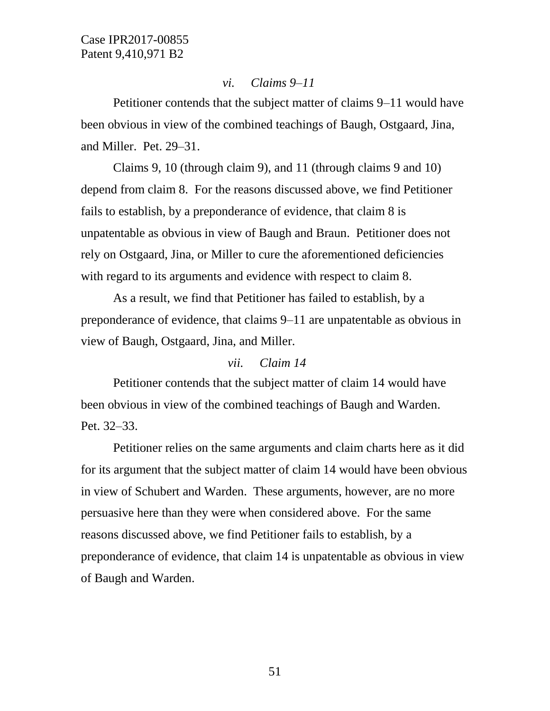### *vi. Claims 9–11*

Petitioner contends that the subject matter of claims 9–11 would have been obvious in view of the combined teachings of Baugh, Ostgaard, Jina, and Miller. Pet. 29–31.

Claims 9, 10 (through claim 9), and 11 (through claims 9 and 10) depend from claim 8. For the reasons discussed above, we find Petitioner fails to establish, by a preponderance of evidence, that claim 8 is unpatentable as obvious in view of Baugh and Braun. Petitioner does not rely on Ostgaard, Jina, or Miller to cure the aforementioned deficiencies with regard to its arguments and evidence with respect to claim 8.

As a result, we find that Petitioner has failed to establish, by a preponderance of evidence, that claims 9–11 are unpatentable as obvious in view of Baugh, Ostgaard, Jina, and Miller.

### *vii. Claim 14*

Petitioner contends that the subject matter of claim 14 would have been obvious in view of the combined teachings of Baugh and Warden. Pet. 32–33.

Petitioner relies on the same arguments and claim charts here as it did for its argument that the subject matter of claim 14 would have been obvious in view of Schubert and Warden. These arguments, however, are no more persuasive here than they were when considered above. For the same reasons discussed above, we find Petitioner fails to establish, by a preponderance of evidence, that claim 14 is unpatentable as obvious in view of Baugh and Warden.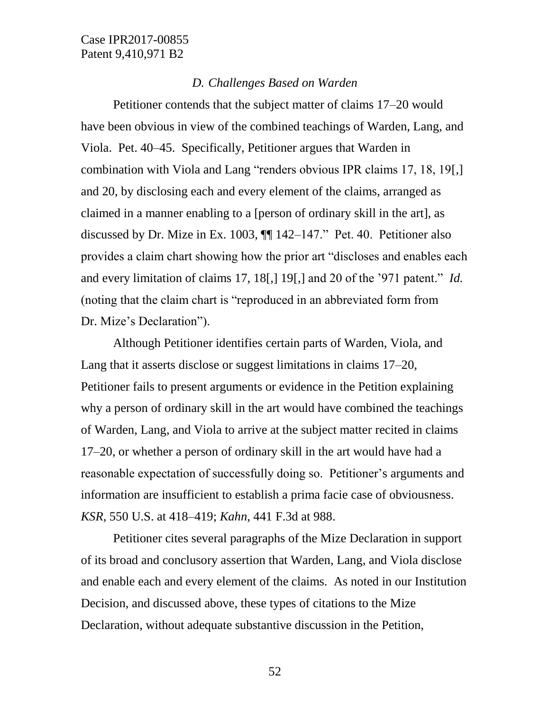### *D. Challenges Based on Warden*

Petitioner contends that the subject matter of claims 17–20 would have been obvious in view of the combined teachings of Warden, Lang, and Viola. Pet. 40–45. Specifically, Petitioner argues that Warden in combination with Viola and Lang "renders obvious IPR claims 17, 18, 19[,] and 20, by disclosing each and every element of the claims, arranged as claimed in a manner enabling to a [person of ordinary skill in the art], as discussed by Dr. Mize in Ex. 1003, ¶¶ 142–147." Pet. 40. Petitioner also provides a claim chart showing how the prior art "discloses and enables each and every limitation of claims 17, 18[,] 19[,] and 20 of the '971 patent." *Id.* (noting that the claim chart is "reproduced in an abbreviated form from Dr. Mize's Declaration").

Although Petitioner identifies certain parts of Warden, Viola, and Lang that it asserts disclose or suggest limitations in claims 17–20, Petitioner fails to present arguments or evidence in the Petition explaining why a person of ordinary skill in the art would have combined the teachings of Warden, Lang, and Viola to arrive at the subject matter recited in claims 17–20, or whether a person of ordinary skill in the art would have had a reasonable expectation of successfully doing so. Petitioner's arguments and information are insufficient to establish a prima facie case of obviousness. *KSR*, 550 U.S. at 418–419; *Kahn*, 441 F.3d at 988.

Petitioner cites several paragraphs of the Mize Declaration in support of its broad and conclusory assertion that Warden, Lang, and Viola disclose and enable each and every element of the claims. As noted in our Institution Decision, and discussed above, these types of citations to the Mize Declaration, without adequate substantive discussion in the Petition,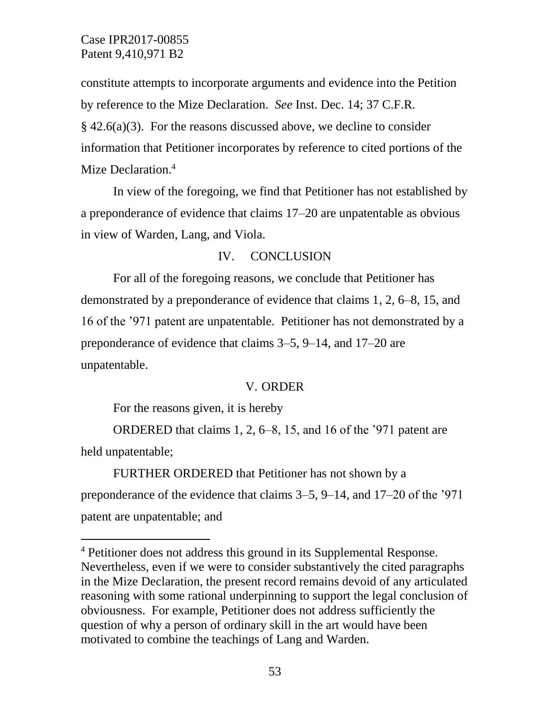constitute attempts to incorporate arguments and evidence into the Petition by reference to the Mize Declaration. *See* Inst. Dec. 14; 37 C.F.R.  $§$  42.6(a)(3). For the reasons discussed above, we decline to consider information that Petitioner incorporates by reference to cited portions of the Mize Declaration.<sup>4</sup>

In view of the foregoing, we find that Petitioner has not established by a preponderance of evidence that claims 17–20 are unpatentable as obvious in view of Warden, Lang, and Viola.

# IV. CONCLUSION

For all of the foregoing reasons, we conclude that Petitioner has demonstrated by a preponderance of evidence that claims 1, 2, 6–8, 15, and 16 of the '971 patent are unpatentable. Petitioner has not demonstrated by a preponderance of evidence that claims 3–5, 9–14, and 17–20 are unpatentable.

### V. ORDER

For the reasons given, it is hereby

l

ORDERED that claims 1, 2, 6–8, 15, and 16 of the '971 patent are held unpatentable;

FURTHER ORDERED that Petitioner has not shown by a preponderance of the evidence that claims 3–5, 9–14, and 17–20 of the '971 patent are unpatentable; and

<sup>4</sup> Petitioner does not address this ground in its Supplemental Response. Nevertheless, even if we were to consider substantively the cited paragraphs in the Mize Declaration, the present record remains devoid of any articulated reasoning with some rational underpinning to support the legal conclusion of obviousness. For example, Petitioner does not address sufficiently the question of why a person of ordinary skill in the art would have been motivated to combine the teachings of Lang and Warden.